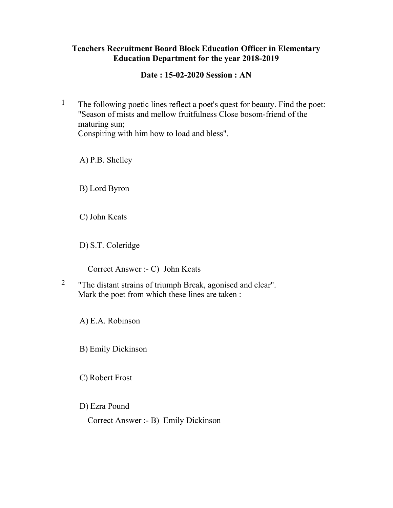## Teachers Recruitment Board Block Education Officer in Elementary Education Department for the year 2018-2019

Date : 15-02-2020 Session : AN

<sup>1</sup> The following poetic lines reflect a poet's quest for beauty. Find the poet: "Season of mists and mellow fruitfulness Close bosom-friend of the maturing sun; Conspiring with him how to load and bless".

A) P.B. Shelley

B) Lord Byron

C) John Keats

D) S.T. Coleridge

Correct Answer :- C) John Keats

2 "The distant strains of triumph Break, agonised and clear". Mark the poet from which these lines are taken :

A) E.A. Robinson

B) Emily Dickinson

C) Robert Frost

D) Ezra Pound

Correct Answer :- B) Emily Dickinson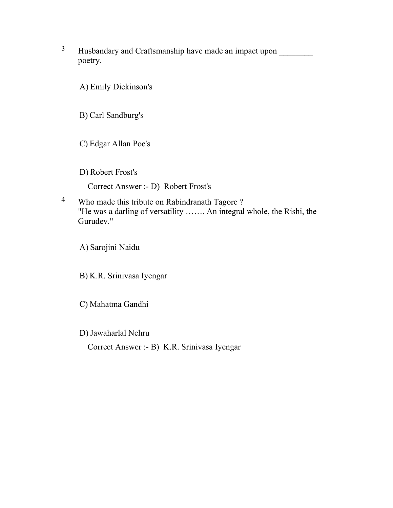<sup>3</sup> Husbandary and Craftsmanship have made an impact upon poetry.

A) Emily Dickinson's

B) Carl Sandburg's

C) Edgar Allan Poe's

D) Robert Frost's

Correct Answer :- D) Robert Frost's

4 Who made this tribute on Rabindranath Tagore ? "He was a darling of versatility ……. An integral whole, the Rishi, the Gurudev."

A) Sarojini Naidu

B) K.R. Srinivasa Iyengar

C) Mahatma Gandhi

D) Jawaharlal Nehru

Correct Answer :- B) K.R. Srinivasa Iyengar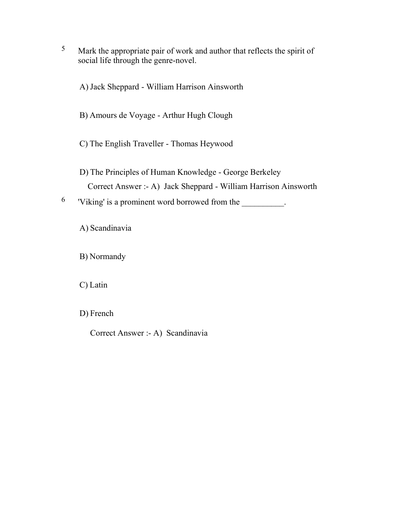5 Mark the appropriate pair of work and author that reflects the spirit of social life through the genre-novel.

A) Jack Sheppard - William Harrison Ainsworth

- B) Amours de Voyage Arthur Hugh Clough
- C) The English Traveller Thomas Heywood
- D) The Principles of Human Knowledge George Berkeley Correct Answer :- A) Jack Sheppard - William Harrison Ainsworth

 $6$  'Viking' is a prominent word borrowed from the  $\blacksquare$ .

A) Scandinavia

B) Normandy

C) Latin

D) French

Correct Answer :- A) Scandinavia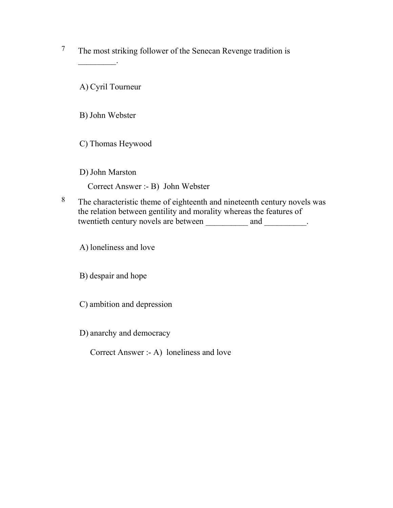7 The most striking follower of the Senecan Revenge tradition is

A) Cyril Tourneur

 $\mathcal{L}$ 

B) John Webster

C) Thomas Heywood

D) John Marston

Correct Answer :- B) John Webster

<sup>8</sup> The characteristic theme of eighteenth and nineteenth century novels was the relation between gentility and morality whereas the features of twentieth century novels are between \_\_\_\_\_\_\_\_\_\_\_ and \_\_\_\_\_\_\_\_\_.

A) loneliness and love

B) despair and hope

C) ambition and depression

D) anarchy and democracy

Correct Answer :- A) loneliness and love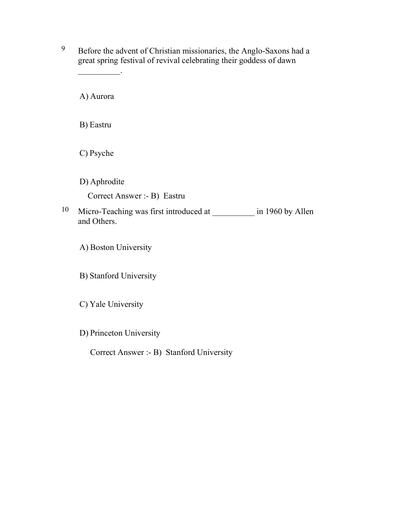9 Before the advent of Christian missionaries, the Anglo-Saxons had a great spring festival of revival celebrating their goddess of dawn

A) Aurora

 $\frac{1}{2}$ 

B) Eastru

C) Psyche

D) Aphrodite Correct Answer :- B) Eastru

10 Micro-Teaching was first introduced at \_\_\_\_\_\_\_\_\_\_\_ in 1960 by Allen and Others.

A) Boston University

B) Stanford University

C) Yale University

D) Princeton University

Correct Answer :- B) Stanford University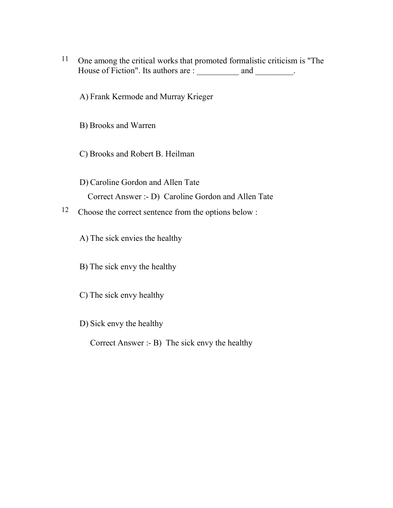- 11 One among the critical works that promoted formalistic criticism is "The House of Fiction". Its authors are : \_\_\_\_\_\_\_\_\_\_ and \_\_\_\_\_\_\_\_.
	- A) Frank Kermode and Murray Krieger
	- B) Brooks and Warren
	- C) Brooks and Robert B. Heilman
	- D) Caroline Gordon and Allen Tate Correct Answer :- D) Caroline Gordon and Allen Tate
- 12 Choose the correct sentence from the options below :
	- A) The sick envies the healthy
	- B) The sick envy the healthy
	- C) The sick envy healthy
	- D) Sick envy the healthy
		- Correct Answer :- B) The sick envy the healthy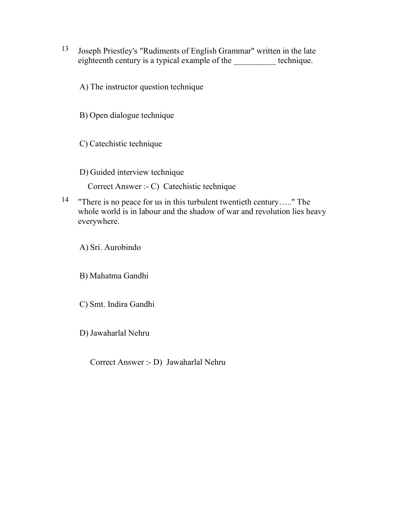- 13 Joseph Priestley's "Rudiments of English Grammar" written in the late eighteenth century is a typical example of the **which is a technique**.
	- A) The instructor question technique

B) Open dialogue technique

C) Catechistic technique

D) Guided interview technique

Correct Answer :- C) Catechistic technique

14 "There is no peace for us in this turbulent twentieth century….." The whole world is in labour and the shadow of war and revolution lies heavy everywhere.

A) Sri. Aurobindo

B) Mahatma Gandhi

C) Smt. Indira Gandhi

D) Jawaharlal Nehru

Correct Answer :- D) Jawaharlal Nehru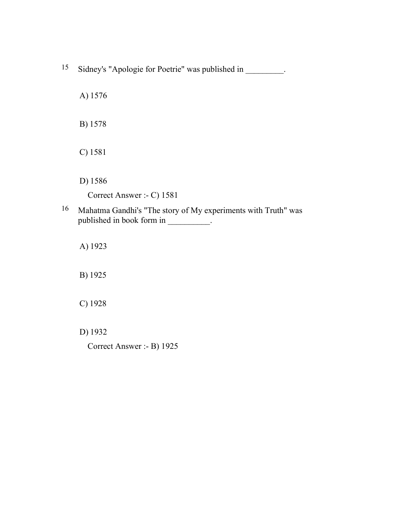- <sup>15</sup> Sidney's "Apologie for Poetrie" was published in \_\_\_\_\_\_\_\_.
	- A) 1576
	- B) 1578
	- C) 1581
	- D) 1586

Correct Answer :- C) 1581

16 Mahatma Gandhi's "The story of My experiments with Truth" was published in book form in \_\_\_\_\_\_\_\_\_.

A) 1923

B) 1925

C) 1928

D) 1932

Correct Answer :- B) 1925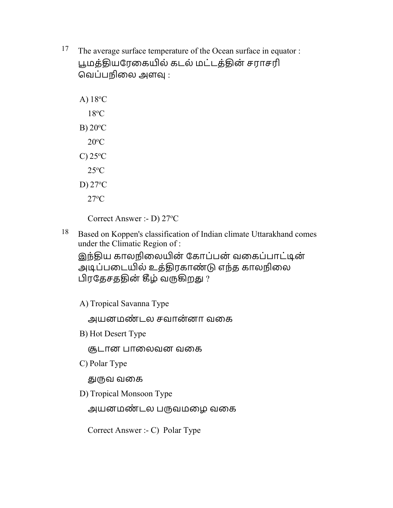- <sup>17</sup> The average surface temperature of the Ocean surface in equator : பூமத்தியரேகையில் கடல் மட்டத்தின் சராசரி வெப்பநிலை அளவு :
	- A) 18<sup>o</sup>C  $18^{\circ}$ C B)  $20^{\circ}$ C  $20^{\circ}$ C C)  $25^{\circ}$ C  $25^{\circ}$ C D)  $27^{\circ}$ C  $27^{\circ}$ C

Correct Answer :- D)  $27^{\circ}$ C

18 Based on Koppen's classification of Indian climate Uttarakhand comes under the Climatic Region of :

இந்திய காலநிலையின் கோப்பன் வகைப்பாட்டின் அடிப்படையில் உத்திரகாண்டு எந்த காலநிலை பிரதேசததின் கீழ் வருகிறது ?

A) Tropical Savanna Type

அயனமண் டல சவான்னா வைக

B) Hot Desert Type

சூடான பாலைவன வகை

C) Polar Type

ௌவ வைக

D) Tropical Monsoon Type

அயனமண்டல பருவமழை வகை

Correct Answer :- C) Polar Type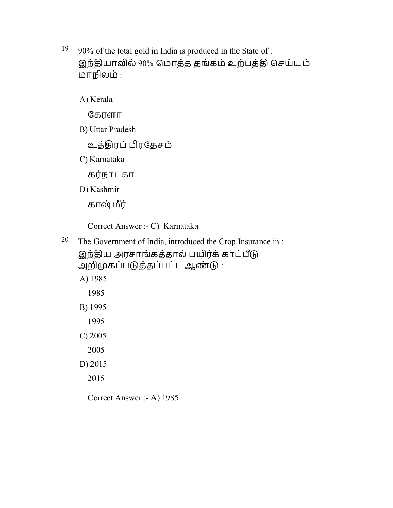$19$  90% of the total gold in India is produced in the State of : இந்தியாவில் 90% மொத்த தங்கம் உற்பத்தி செய்யும் மாநிலம் :

A) Kerala

ேகரளா

B) Uttar Pradesh

உத்ொரப்ரேதசம்

C) Karnataka

கர்நாடகா

D) Kashmir

காஷ்ர்

Correct Answer :- C) Karnataka

<sup>20</sup> The Government of India, introduced the Crop Insurance in :

இந்திய அரசாங்கத்தால் பயிர்க் காப்பீடு

அறிமுகப்படுத்தப்பட்ட ஆண்டு: A) 1985

1985

B) 1995

1995

C) 2005

2005

D) 2015

2015

Correct Answer :- A) 1985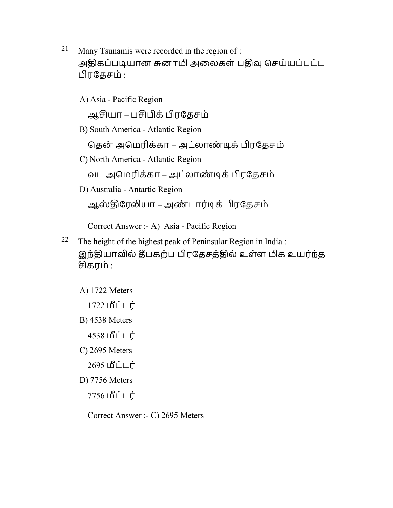- 21 Many Tsunamis were recorded in the region of : அதிகப்படியான சுனாமி அலைகள் பதிவு செய்யப்பட்ட ரேதசம் :
	- A) Asia Pacific Region

ஆயா – பக்ரேதசம்

B) South America - Atlantic Region

தென் அமெரிக்கா – அட்லாண்டிக் பிரதேசம்

C) North America - Atlantic Region

வட அமெரிக்கா – அட்லாண்டிக் பிரதேசம்

D) Australia - Antartic Region

ஆஸ்திரேலியா – அண்டார்டிக் பிரதேசம்

Correct Answer :- A) Asia - Pacific Region

- <sup>22</sup> The height of the highest peak of Peninsular Region in India : இந்தியாவில் தீபகற்ப பிரதேசத்தில் உள்ள மிக உயர்ந்த கரம் :
	- A) 1722 Meters
		- 1722 மீட்டர்
	- B) 4538 Meters
		- 4538 **மீட்டர்**
	- C) 2695 Meters
		- 2695 மீட்டர்
	- D) 7756 Meters
		- 7756 **மீட்டர்**

Correct Answer :- C) 2695 Meters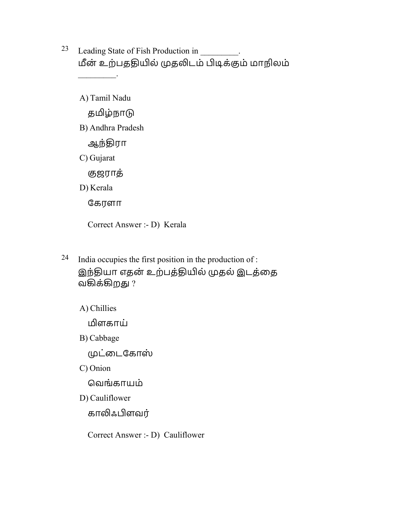- <sup>23</sup> Leading State of Fish Production in மீன் உற்பததியில் முதலிடம் பிடிக்கும் மாநிலம்  $\frac{1}{2}$ 
	- A) Tamil Nadu

தமிழ்நாடு

B) Andhra Pradesh

ஆந்ொரா

C) Gujarat

ஶஜராத்

D) Kerala

ேகரளா

Correct Answer :- D) Kerala

24 India occupies the first position in the production of : இந்தியா எதன் உற்பத்தியில் முதல் இடத்தை வகிக்கிறது ?

A) Chillies

ளகாய்

B) Cabbage

<u>முட்டைகோஸ்</u>

C) Onion

ெவங்காயம்

D) Cauliflower

காலிஃபிளவர்

Correct Answer :- D) Cauliflower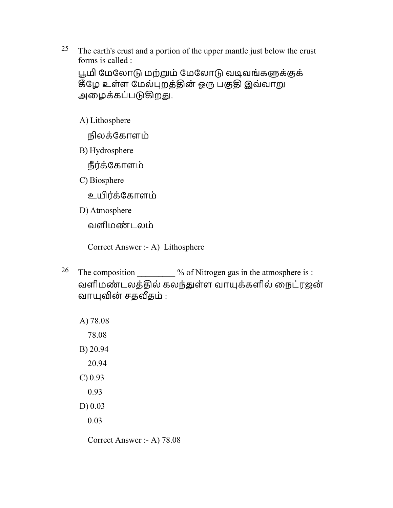<sup>25</sup> The earth's crust and a portion of the upper mantle just below the crust forms is called :

பூமி மேலோடு மற்றும் மேலோடு வடிவங்களுக்குக் கீழே உள்ள மேல்புறத்தின் ஒரு பகுதி இவ்வாறு அழைக்கப்படுகிறது.

A) Lithosphere

நிலக்ேகாளம்

B) Hydrosphere

நீரக் ்ேகாளம்

C) Biosphere

உயிர்க்கோளம்

D) Atmosphere

வளிமண் டலம்

Correct Answer :- A) Lithosphere

<sup>26</sup> The composition  $\%$  of Nitrogen gas in the atmosphere is : வளிமண்டலத்தில் கலந்துள்ள வாயுக்களில் நைட்ரஜன் வாயுவின் சதவீதம் :

A) 78.08 78.08 B) 20.94 20.94 C) 0.93 0.93 D) 0.03 0.03

Correct Answer :- A) 78.08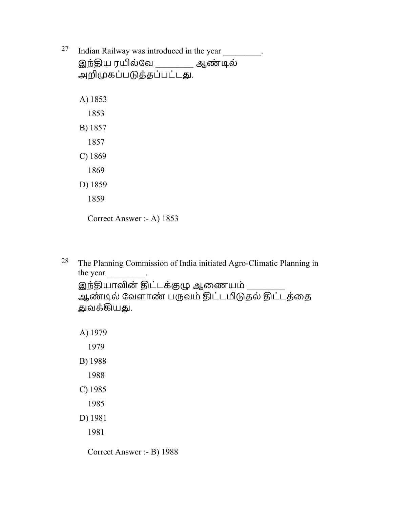<sup>27</sup> Indian Railway was introduced in the year \_\_\_\_\_\_\_\_\_.

இந்திய ரயில்வே \_\_\_\_\_\_\_\_\_ ஆண்டில் அறிமுகப்படுத்தப்பட்டது. A) 1853 1853 B) 1857 1857 C) 1869 1869 D) 1859 1859 Correct Answer :- A) 1853

28 The Planning Commission of India initiated Agro-Climatic Planning in the year . இந்தியாவின் திட்டக்குழு ஆணையம் ஆண்டில் வேளாண் பருவம் திட்டமிடுதல் திட்டத்தை துவக்கியது.

- D) 1981
	- 1981

Correct Answer :- B) 1988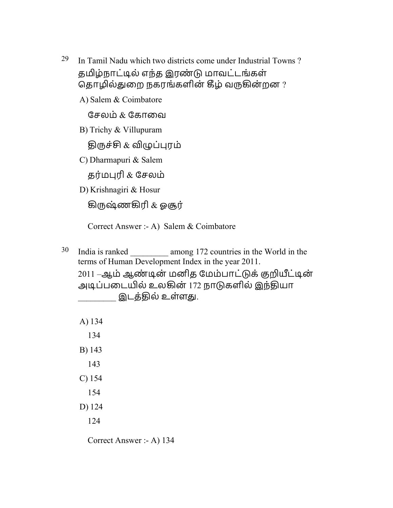<sup>29</sup> In Tamil Nadu which two districts come under Industrial Towns? தமிழ்நாட்டில் எந்த இரண்டு மாவட்டங்கள் தொழில்துறை நகரங்களின் கீழ் வருகின்றன ?

A) Salem & Coimbatore

சேலம்  $\&$  கோவை

B) Trichy & Villupuram

<u>திருச்சி & விழுப்புரம்</u>

C) Dharmapuri & Salem

தர்மபுரி  $\&$  சேலம்

D) Krishnagiri & Hosur

கிருஷ்ணகிரி & ஓசூர்

Correct Answer :- A) Salem & Coimbatore

<sup>30</sup> India is ranked \_\_\_\_\_\_\_\_\_\_ among 172 countries in the World in the terms of Human Development Index in the year 2011. 2011 –ஆம் ஆண்டின் மனித மேம்பாட்டுக் குறியீட்டின் அடிப்படையில் உலகின் 172 நாடுகளில் இந்தியா \_\_\_\_\_\_\_\_\_ இடத்ொல் உள்ளௌ.

Correct Answer :- A) 134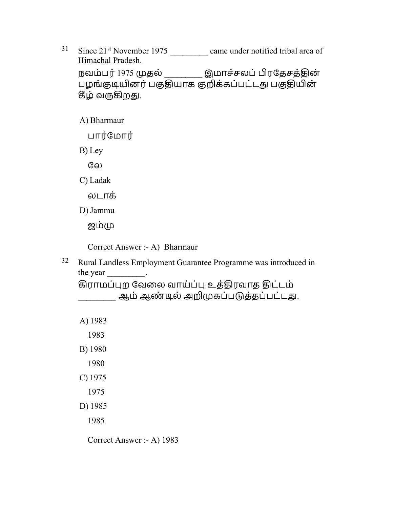$31$  Since  $21^{st}$  November 1975 came under notified tribal area of Himachal Pradesh. நவம்பர் 1975 முதல் \_\_\_\_\_\_\_\_\_ இமாச்சலப் பிரதேசத்தின் பழங்குடியினர் பகுதியாக குறிக்கப்பட்டது பகுதியின் கீழ் வருகிறது.

A) Bharmaur

பார்மோர்

B) Ley

லே

C) Ladak

லடாக்

D) Jammu

ஜம்

Correct Answer :- A) Bharmaur

32 Rural Landless Employment Guarantee Programme was introduced in the year .

கிராமப்புற வேலை வாய்ப்பு உத்திரவாத திட்டம் ஆம் ஆண்டில் அறிமுகப்படுத்தப்பட்டது.

| A) 1983    |  |
|------------|--|
| 1983       |  |
| B) 1980    |  |
| 1980       |  |
| $C$ ) 1975 |  |
| 1975       |  |
| D) 1985    |  |
| 1985       |  |

Correct Answer :- A) 1983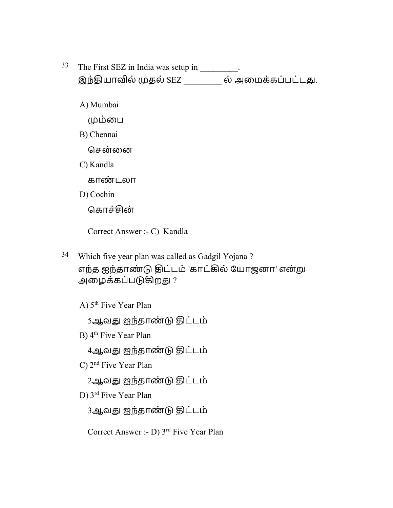- 33 The First SEZ in India was setup in \_\_\_\_\_\_\_\_. இந்தியாவில் முதல் SEZ \_\_\_\_\_\_\_\_\_ ல் அமைக்கப்பட்டது.
	- A) Mumbai
		- ம்ைப
	- B) Chennai
		- சென்னை
	- C) Kandla
		- காண் டலா
	- D) Cochin
		- ெகாச்ன்
		- Correct Answer :- C) Kandla
- 34 Which five year plan was called as Gadgil Yojana ? எந்த ஐந்தாண்டு திட்டம் 'காட்கில் யோஜனா' என்று அழைக்கப்படுகிறது ?
	- A) 5<sup>th</sup> Five Year Plan
		- 5ஆவது ஐந்தாண்டு திட்டம்
	- B) 4<sup>th</sup> Five Year Plan
		- 4ஆவது ஐந்தாண்டு திட்டம்
	- C) 2<sup>nd</sup> Five Year Plan
		- 2ஆவது ஐந்தாண்டு திட்டம்
	- D) 3 rd Five Year Plan
		- 3ஆவது ஐந்தாண்டு திட்டம்
		- Correct Answer :- D) 3rd Five Year Plan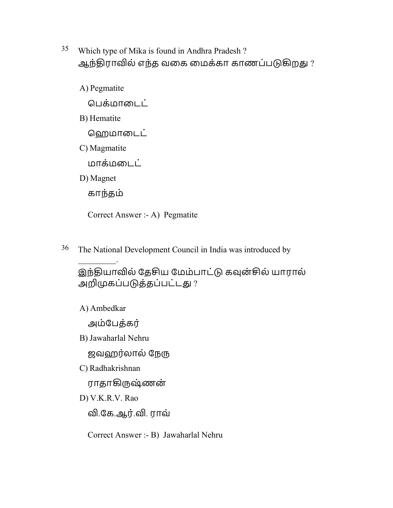- 35 Which type of Mika is found in Andhra Pradesh ? ஆந்திராவில் எந்த வகை மைக்கா காணப்படுகிறது ?
	- A) Pegmatite

ெபக்மாைடட்

B) Hematite

ஹெமாடைட்

C) Magmatite

மாக்மைடட்

D) Magnet

காந்தம்

Correct Answer :- A) Pegmatite

<sup>36</sup> The National Development Council in India was introduced by

இந்தியாவில் தேசிய மேம்பாட்டு கவுன்சில் யாரால் அறிமுகப்படுத்தப்பட்டது?

A) Ambedkar

 $\mathcal{L}$ 

அம்பேத்கர்

B) Jawaharlal Nehru

ஜவஹர்லால் நேரு

C) Radhakrishnan

ராதாகிருஷ்ணன்

D) V.K.R.V. Rao

வி.கே.ஆர்.வி. ராவ்

Correct Answer :- B) Jawaharlal Nehru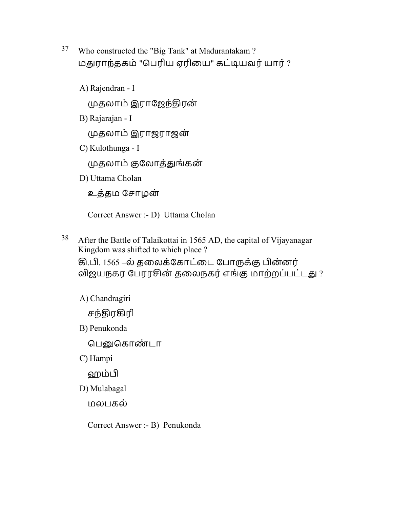- 37 Who constructed the "Big Tank" at Madurantakam ? மதுராந்தகம் "பெரிய ஏரியை" கட்டியவர் யார் ?
	- A) Rajendran I

தலாம் இராேஜந்ொரன்

B) Rajarajan - I

தலாம் இராஜராஜன்

C) Kulothunga - I

தலாம் ஶேலாத்ௌங்கன்

D) Uttama Cholan

உத்தம சோழன்

Correct Answer :- D) Uttama Cholan

 $38$  After the Battle of Talaikottai in 1565 AD, the capital of Vijayanagar Kingdom was shifted to which place ?

கி.பி. 1565 –ல் தலைக்கோட்டை போருக்கு பின்னர் விஜயநகர பேரரசின் தலைநகர் எங்கு மாற்றப்பட்டது ?

A) Chandragiri

சந்திரகிரி

B) Penukonda

பெனுகொண்டா

C) Hampi

ஹம்

D) Mulabagal

மலபகல்

Correct Answer :- B) Penukonda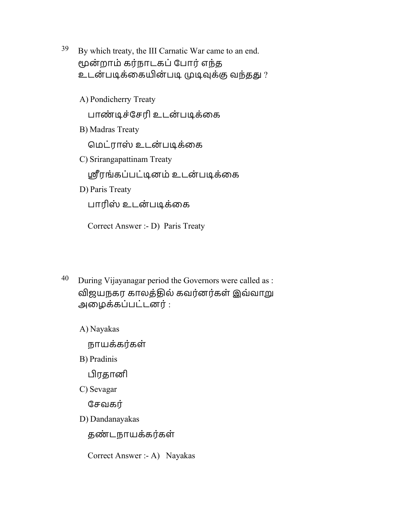- 39 By which treaty, the III Carnatic War came to an end. மூன்றாம் கர்நாடகப் போர் எந்த உடன்படிக்கையின்படி முடிவுக்கு வந்தது ?
	- A) Pondicherry Treaty பாண்டிச்சேரி உடன்படிக்கை B) Madras Treaty ெமட்ராஸ் உடன் பூக்ைக C) Srirangapattinam Treaty ஸ்ரீரங்கப்பட்டினம் உடன்படிக்கை D) Paris Treaty பாரிஸ் உடன்படிக்கை

Correct Answer :- D) Paris Treaty

 $40$  During Vijayanagar period the Governors were called as : விஜயநகர காலத்தில் கவர்னர்கள் இவ்வாறு அைழக்கப்பட்டனர் :

A) Nayakas

நாயக்கர்கள்

B) Pradinis

ரதானி

C) Sevagar

ேசவகர்

D) Dandanayakas

தண்டநாயக்கர்கள்

Correct Answer :- A) Nayakas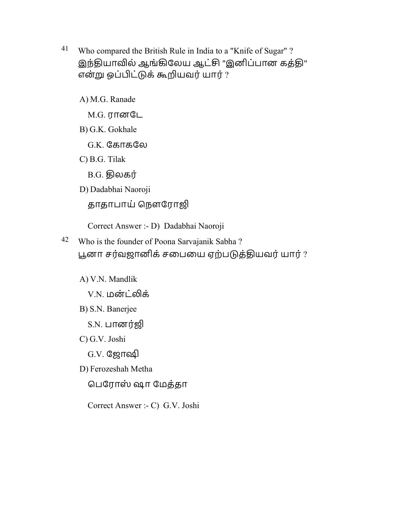- 41 Who compared the British Rule in India to a "Knife of Sugar" ? இந்தியாவில் ஆங்கிலேய ஆட்சி "இனிப்பான கத்தி" என்று ஒப்பிட்டுக் கூறியவர் யார் ?
	- A) M.G. Ranade
		- M.G. ரானேட
	- B) G.K. Gokhale
		- G.K. ேகாகேல
	- C) B.G. Tilak
		- B.G. திலகர்
	- D) Dadabhai Naoroji
		- தாதாபாய் நௌரோஜி
		- Correct Answer :- D) Dadabhai Naoroji
- 42 Who is the founder of Poona Sarvajanik Sabha ? பூனா சர்வஜானிக் சபையை ஏற்படுத்தியவர் யார் ?
	- A) V.N. Mandlik
		- V.N. மன்ட்லிக்
	- B) S.N. Banerjee
		- S.N. பானர்ஜி
	- C) G.V. Joshi
		- G.V. ஜோஷி
	- D) Ferozeshah Metha
		- ெபேராஸ் ஷா ேமத்தா
		- Correct Answer :- C) G.V. Joshi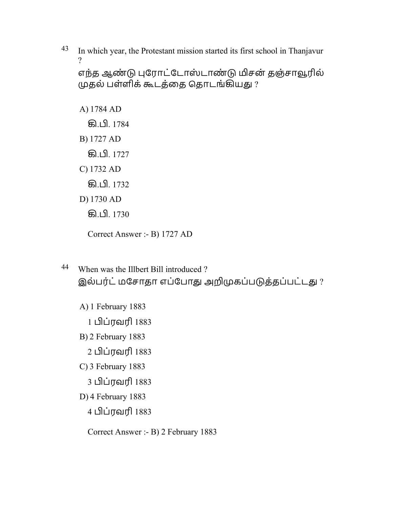$43$  In which year, the Protestant mission started its first school in Thanjavur  $\mathcal{P}$ 

```
எந்த ஆண்டு புரோட்டோஸ்டாண்டு மிசன் தஞ்சாவூரில்
முதல் பள்ளிக் கூடத்தை தொடங்கியது ?
```
A) 1784 AD கி.பி. 1784 B) 1727 AD **கி.பி.** 1727 C) 1732 AD **கி.பி.** 1732 D) 1730 AD **கி.பி.** 1730 Correct Answer :- B) 1727 AD

- 44 When was the Illbert Bill introduced ? இல்பர்ட் மசோதா எப்போது அறிமுகப்படுத்தப்பட்டது ?
	- A) 1 February 1883
		- 1 ப்ரவரி 1883
	- B) 2 February 1883
		- 2 ப்ரவரி 1883
	- C) 3 February 1883
		- 3 ப்ரவரி 1883
	- D) 4 February 1883
		- 4 ப்ரவரி 1883
		- Correct Answer :- B) 2 February 1883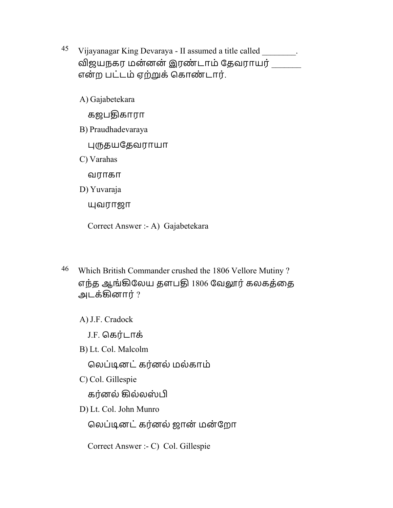- 45 Vijayanagar King Devaraya II assumed a title called  $\blacksquare$ . விஜயநகர மன்னன் இரண்டாம் தேவராயர் என்ற பட்டம் ஏற்றுக் கொண்டார்.
	- A) Gajabetekara

கஜபொகாரா

B) Praudhadevaraya

தயேதவராயா

C) Varahas

வராகா

D) Yuvaraja

வராஜா

Correct Answer :- A) Gajabetekara

46 Which British Commander crushed the 1806 Vellore Mutiny ? எந்த ஆங்கிலேய தளபதி 1806 வேலூர் கலகத்தை அடக்ழனார் ?

A) J.F. Cradock

J.F. ெகரட் ாக்

B) Lt. Col. Malcolm

ெலப்ூனட்கரன் ல் மல்காம்

C) Col. Gillespie

கர்னல் கில்லஸ்பி

D) Lt. Col. John Munro

ெலப்ூனட்கரன் ல் ஜான் மன் ேறா

Correct Answer :- C) Col. Gillespie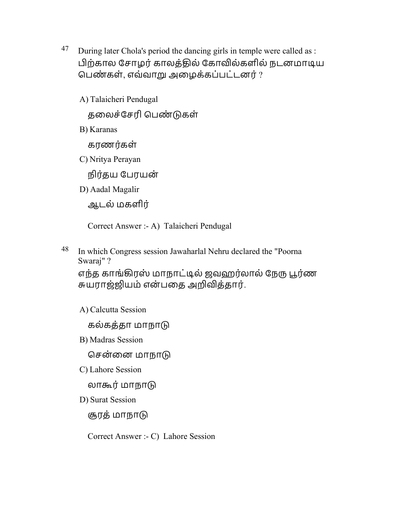- $47$  During later Chola's period the dancing girls in temple were called as : பிற்கால சோழர் காலத்தில் கோவில்களில் நடனமாடிய பெண்கள், எவ்வாறு அழைக்கப்பட்டனர் ?
	- A) Talaicheri Pendugal

தலைச்சேரி பெண்டுகள்

B) Karanas

கரணர்கள்

C) Nritya Perayan

நிர்தய பேரயன்

D) Aadal Magalir

ஆடல் மகளிர்

Correct Answer :- A) Talaicheri Pendugal

48 In which Congress session Jawaharlal Nehru declared the "Poorna Swaraj" ?

எந்த காங்கிரஸ் மாநாட்டில் ஜவஹர்லால் நேரு பூர்ண சுயராஜ்ஜியம் என்பதை அறிவித்தார்.

A) Calcutta Session

கல்கத்தா மாநா

B) Madras Session

சென்னை மாநாடு

C) Lahore Session

லாகூர் மாநாடு

D) Surat Session

சூரத் மாநாடு

Correct Answer :- C) Lahore Session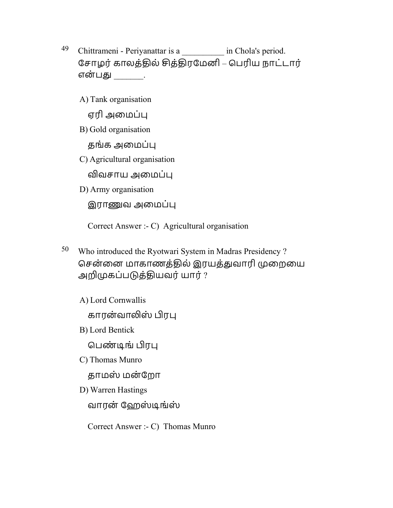- 49 Chittrameni Periyanattar is a chola's period. சோழர் காலத்தில் சித்திரமேனி – பெரிய நாட்டார் என்பது \_\_\_\_\_.
	- A) Tank organisation

ஏரி அமைப்பு

B) Gold organisation

தங்க அமைப்பு

C) Agricultural organisation

விவசாய அமைப்பு

D) Army organisation

இராணுவ அமைப்பு

Correct Answer :- C) Agricultural organisation

- 50 Who introduced the Ryotwari System in Madras Presidency ? சென்னை மாகாணத்தில் இரயத்துவாரி முறையை அறிமுகப்படுத்தியவர் யார் ?
	- A) Lord Cornwallis

காரன்வாலிஸ் பிரபு

B) Lord Bentick

பெண்டிங் பிரபு

C) Thomas Munro

தாமஸ் மன் ேறா

D) Warren Hastings

வாரன் ஹேஸ்டிங்ஸ்

Correct Answer :- C) Thomas Munro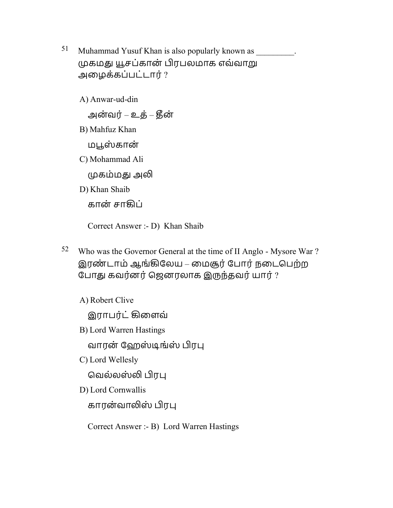- 51 Muhammad Yusuf Khan is also popularly known as  $\sim$ . முகமது யூசப்கான் பிரபலமாக எவ்வாறு அைழக்கப்பட்டார் ?
	- A) Anwar-ud-din அன்வர் – உக் – கீன் B) Mahfuz Khan மபூஸ்கான் C) Mohammad Ali முகம்மது அலி D) Khan Shaib கான் சாகிப்

Correct Answer :- D) Khan Shaib

- 52 Who was the Governor General at the time of II Anglo Mysore War ? இரண்டாம் ஆங்கிலேய – மைசூர் போர் நடைபெற்ற போது கவர்னர் ஜெனரலாக இருந்தவர் யார் ?
	- A) Robert Clive

இராபர்ட் கிளைவ்

B) Lord Warren Hastings

வாரன் ஹேஸ்டிங்ஸ் பிரபு

C) Lord Wellesly

வெல்லஸ்லி பிரபு

D) Lord Cornwallis

காரன்வாலிஸ் பிரபு

Correct Answer :- B) Lord Warren Hastings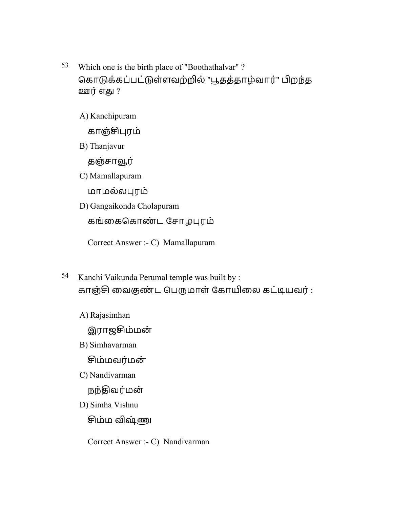- 53 Which one is the birth place of "Boothathalvar" ? கொடுக்கப்பட்டுள்ளவற்றில் "பூதத்தாழ்வார்" பிறந்த ஊர்எௌ ?
	- A) Kanchipuram

காஞ்ரம்

B) Thanjavur

தஞ்சாவூர்

C) Mamallapuram

மாமல்லரம்

D) Gangaikonda Cholapuram

கங்கைகொண்ட சோழபுரம்

Correct Answer :- C) Mamallapuram

- 54 Kanchi Vaikunda Perumal temple was built by : காஞ்சி வைகுண்ட பெருமாள் கோயிலை கட்டியவர் :
	- A) Rajasimhan

இராஜம்மன்

B) Simhavarman

சிம்மவர்மன்

C) Nandivarman

நந்திவர்மன்

D) Simha Vishnu

சிம்ம விஷ்ணு

Correct Answer :- C) Nandivarman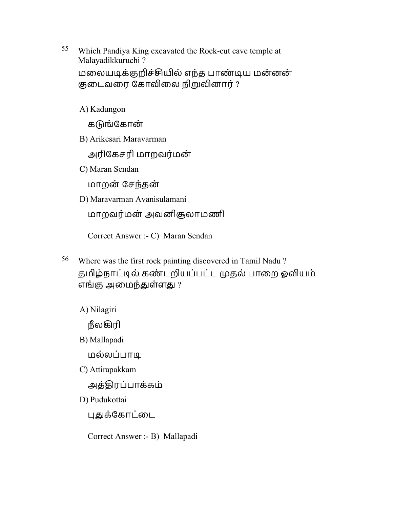55 Which Pandiya King excavated the Rock-cut cave temple at Malayadikkuruchi ? மலையடிக்குறிச்சியில் எந்த பாண்டிய மன்னன் குடைவரை கோவிலை நிறுவினார்  $?$ 

A) Kadungon

கடுங்கோன்

B) Arikesari Maravarman

அரிகேசரி மாறவர்மன்

C) Maran Sendan

மாறன் ேசந்தன்

D) Maravarman Avanisulamani

மாறவர்மன் அவனிசூலாமணி

Correct Answer :- C) Maran Sendan

56 Where was the first rock painting discovered in Tamil Nadu ? தமிழ்நாட்டில் கண்டறியப்பட்ட முதல் பாறை ஓவியம் எங்கு அமைந்துள்ளது  $?$ 

A) Nilagiri

நீலகிரி

B) Mallapadi

மல்லப்பாூ

C) Attirapakkam

அத்ொரப்பாக்கம்

D) Pudukottai

புதுக்கோட்டை

Correct Answer :- B) Mallapadi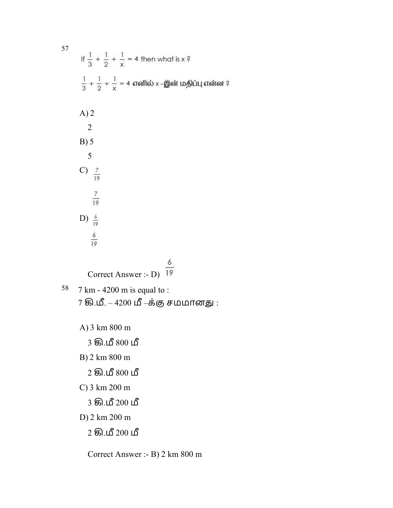|    | If $\frac{1}{3} + \frac{1}{2} + \frac{1}{x} = 4$ then what is x ?         |
|----|---------------------------------------------------------------------------|
|    | $\frac{1}{3} + \frac{1}{2} + \frac{1}{3} = 4$ எனில் x –இன் மதிப்பு என்ன ? |
|    | A)2                                                                       |
|    | $\overline{2}$<br>B) 5                                                    |
|    | 5                                                                         |
|    | C) $\frac{7}{19}$                                                         |
|    | $\frac{7}{19}$                                                            |
|    | D) $\frac{6}{19}$                                                         |
|    | $\frac{6}{19}$                                                            |
|    |                                                                           |
|    | Correct Answer :- D)                                                      |
| 58 | 7 km - 4200 m is equal to :                                               |
|    | 7 கி.மீ. – 4200 மீ –க்கு சமமானது :                                        |

A) 3 km 800 m

3 கி.மீ 800 மீ

B) 2 km 800 m

 $2$  கி.மீ  $800 \text{ }\mathrm{L}$ 

C) 3 km 200 m

3 கி.மீ 200 மீ

D) 2 km 200 m

 $2$  கி.மீ  $200 \text{ }\Delta$ 

Correct Answer :- B) 2 km 800 m

57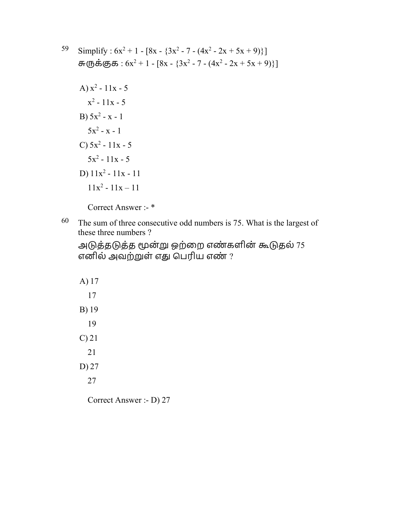- 59 Simplify :  $6x^2 + 1 [8x {3x^2 7 (4x^2 2x + 5x + 9)}]$ சுருக்குக :  $6x^2 + 1 - [8x - {3x^2 - 7 - (4x^2 - 2x + 5x + 9)}]$ 
	- A)  $x^2 11x 5$  $x^2 - 11x - 5$ B)  $5x^2 - x - 1$  $5x^2 - x - 1$ C)  $5x^2 - 11x - 5$  $5x^2 - 11x - 5$ D)  $11x^2 - 11x - 11$  $11x^2 - 11x - 11$

Correct Answer :- \*

 $60$  The sum of three consecutive odd numbers is 75. What is the largest of these three numbers ?

அடுத்தடுத்த மூன்று ஒற்றை எண்களின் கூடுதல் 75 எனில் அவற்றுள் எது பெரிய எண்  $?$ 

Correct Answer :- D) 27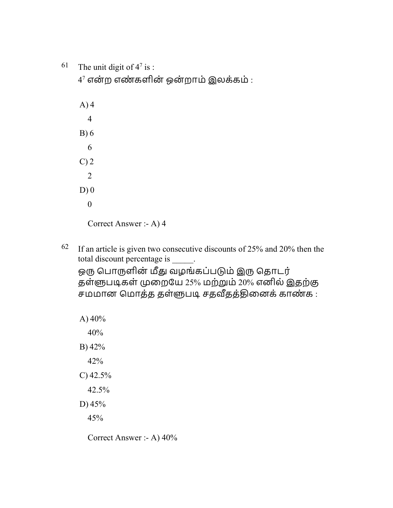61 The unit digit of  $4^7$  is :

 $4^7$  என்ற எண்களின் ஒன்றாம் இலக்கம் :

- A) 4 4 B) 6 6  $C$ ) 2 2  $D(0)$  0 Correct Answer :- A) 4
- $62$  If an article is given two consecutive discounts of 25% and 20% then the total discount percentage is \_\_\_\_\_. ஒரு பொருளின் மீது வழங்கப்படும் இரு தொடர் தள்ளுபடிகள் முறையே 25% மற்றும் 20% எனில் இதற்கு .<br>சமமான மொத்த தள்ளுபடி சதவீதத்தினைக் காண்க :

A)  $40%$ 40% B) 42% 42% C) 42.5% 42.5% D) 45% 45%

Correct Answer :- A) 40%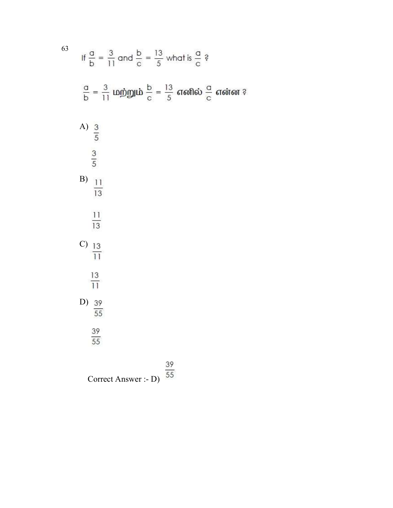If 
$$
\frac{a}{b} = \frac{3}{11}
$$
 and  $\frac{b}{c} = \frac{13}{5}$  what is  $\frac{a}{c}$ ?  
\n $\frac{a}{b} = \frac{3}{11}$  Simplig  $\frac{b}{c} = \frac{13}{5}$  and so  $\frac{a}{c}$  and so  $\frac{a}{c}$  is an odd value of  $\frac{a}{5}$ .  
\nA)  $\frac{3}{5}$   
\nB)  $\frac{11}{13}$   
\nC)  $\frac{13}{11}$   
\nD)  $\frac{39}{55}$   
\n39  
\n38  
\n39  
\n39

Correct Answer :- D)  $\overline{55}$ 

63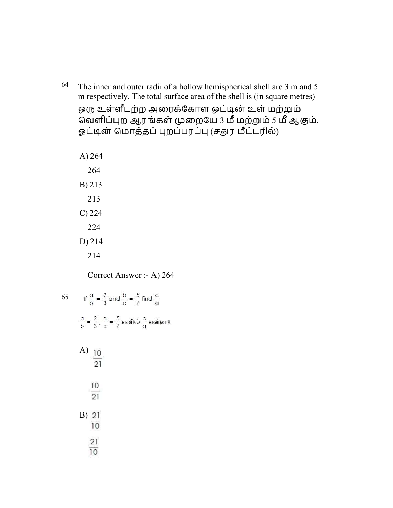64 The inner and outer radii of a hollow hemispherical shell are 3 m and 5 m respectively. The total surface area of the shell is (in square metres) ஒரு உள்ளீடற்ற அரைக்கோள ஓட்டின் உள் மற்றும் .<br>வெளிப்புற ஆரங்கள் முறையே 3 மீ மற்றும் 5 மீ ஆகும். ஓட்டின் மொத்தப் புறப்பரப்பு (சதுர மீட்டரில்)

214

Correct Answer :- A) 264

65 If  $\frac{a}{b} = \frac{2}{3}$  and  $\frac{b}{c} = \frac{5}{7}$  find  $\frac{c}{a}$  $\frac{a}{b} = \frac{2}{3}$ ,  $\frac{b}{c} = \frac{5}{7}$  எனில்  $\frac{c}{q}$  என்ன ? A)  $\frac{10}{21}$  $\frac{10}{21}$  $\frac{21}{10}$  $21$  $\overline{10}$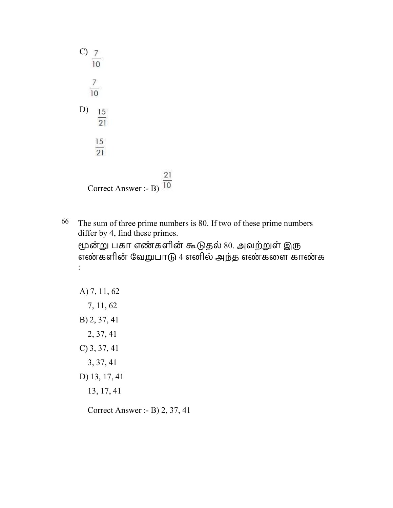

 $66$  The sum of three prime numbers is 80. If two of these prime numbers differ by 4, find these primes.

மூன்று பகா எண்களின் கூடுதல் 80. அவற்றுள் இரு எண்களின் வேறுபாடு 4 எனில் அந்த எண்களை காண்க :

A) 7, 11, 62 7, 11, 62 B) 2, 37, 41 2, 37, 41 C) 3, 37, 41 3, 37, 41 D) 13, 17, 41 13, 17, 41

Correct Answer :- B) 2, 37, 41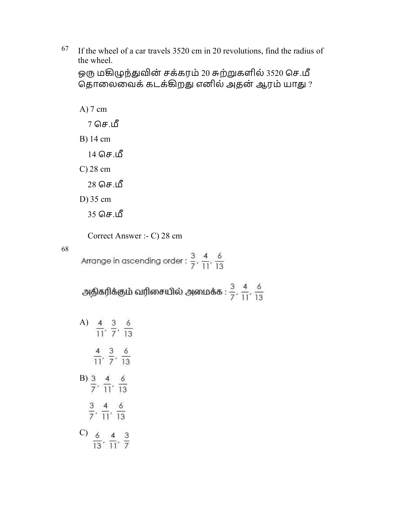$67$  If the wheel of a car travels 3520 cm in 20 revolutions, find the radius of the wheel.

ஒரு மகிழுந்துவின் சக்கரம் 20 சுற்றுகளில் 3520 செ.மீ தொலைவைக் கடக்கிறது எனில் அதன் ஆரம் யாது ?

A) 7 cm

 $7$  செ.மீ

B) 14 cm

 $14$  செ.மீ

C) 28 cm

 $28$  செ.மீ

D) 35 cm

35 செ.மீ

Correct Answer :- C) 28 cm

68

Arrange in ascending order :  $\frac{3}{7}$ ,  $\frac{4}{11}$ ,  $\frac{6}{13}$ 

அதிகரிக்கும் வரிசையில் அமைக்க :  $\frac{3}{7}$ ,  $\frac{4}{11}$ ,  $\frac{6}{13}$ 

| A)            |                  | 3<br>71          | 6<br>13 |
|---------------|------------------|------------------|---------|
|               |                  | 3                | 6<br> 3 |
| B)            |                  | $\overline{11}'$ | 13      |
|               | $\overline{11}'$ | $\frac{6}{13}$   |         |
| $\mathcal{C}$ | 6<br>3           |                  |         |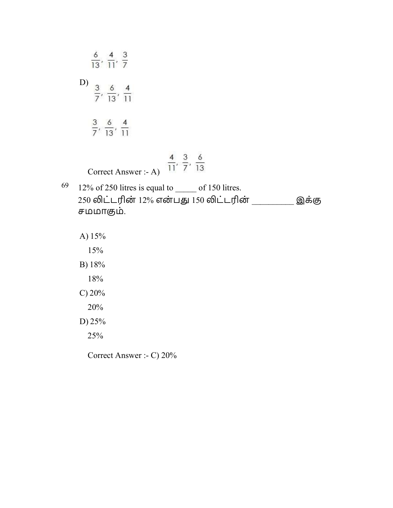|    | $\frac{6}{13}, \frac{4}{11}, \frac{3}{7}$                                                                           |
|----|---------------------------------------------------------------------------------------------------------------------|
|    | D) $\frac{3}{7}, \frac{6}{13}, \frac{4}{11}$                                                                        |
|    | $\frac{3}{7}, \frac{6}{13}, \frac{4}{11}$                                                                           |
|    | $\frac{4}{11}$ , $\frac{3}{7}$ , $\frac{6}{13}$<br>Correct Answer :- A)                                             |
| 69 | 12% of 250 litres is equal to ______ of 150 litres.<br>250 லிட்டரின் 12% என்பது 150 லிட்டரின்<br>இக்கு<br>சமமாகும். |
|    | A) $15%$                                                                                                            |
|    | 15%                                                                                                                 |
|    | B) 18%                                                                                                              |
|    | 18%                                                                                                                 |
|    | $C$ ) 20%                                                                                                           |
|    | 20%                                                                                                                 |
|    | D) $25%$                                                                                                            |
|    | 25%                                                                                                                 |
|    | Correct Answer :- C) 20%                                                                                            |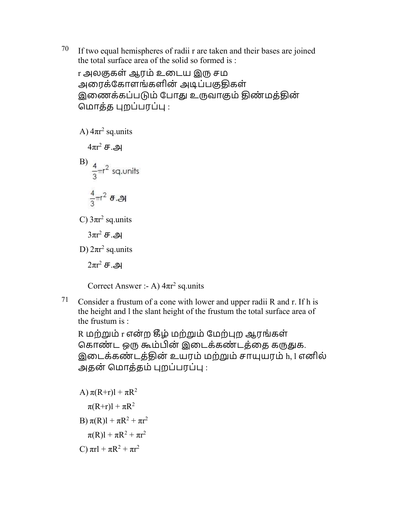$70$  If two equal hemispheres of radii r are taken and their bases are joined the total surface area of the solid so formed is :

r அலகுகள் ஆரம் உடைய இரு சம அரைக்கோளங்களின் அடிப்பகுதிகள் இணைக்கப்படும் போது உருவாகும் திண்மத்தின் மொத்த புறப்பரப்பு :

A)  $4πr<sup>2</sup>$  sq.units

 $4\pi r^2$  ச.அ B)  $\frac{4}{3} \pi r^2$  sq. units  $\frac{4}{3}$  $\pi$ r<sup>2</sup>  $\theta$ . $\Theta$ 

C)  $3\pi r^2$  sq.units

 $3\pi r^2$  ச.அ

D)  $2\pi r^2$  sq.units

 $2\pi r^2$  ச.அ

Correct Answer :- A)  $4\pi r^2$  sq.units

71 Consider a frustum of a cone with lower and upper radii R and r. If h is the height and l the slant height of the frustum the total surface area of the frustum is :

R மற்றும் r என்ற கீழ் மற்றும் மேற்புற ஆரங்கள் கொண்ட ஒரு கூம்பின் இடைக்கண்டத்தை கருதுக. இைடக்கண் டத்ொன் உயரம் மற்ம் சாயரம் h, l எனில் அதன் மொத்தம் புறப்பரப்பு :

A) 
$$
\pi(R+r)l + \pi R^2
$$
  
\n $\pi(R+r)l + \pi R^2$   
\nB)  $\pi(R)l + \pi R^2 + \pi r^2$   
\n $\pi(R)l + \pi R^2 + \pi r^2$   
\nC)  $\pi r l + \pi R^2 + \pi r^2$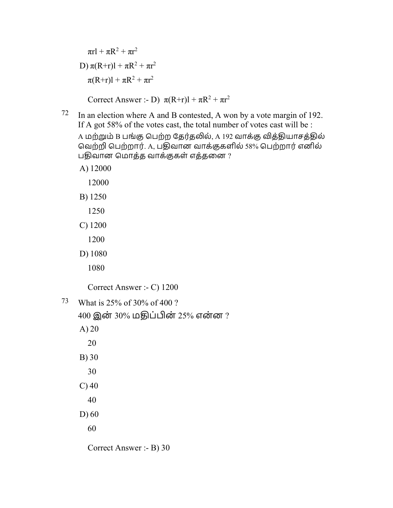$\pi r l + \pi R^2 + \pi r^2$ D)  $\pi(R+r)1 + \pi R^2 + \pi r^2$  $\pi(R+r)1 + \pi R^2 + \pi r^2$ 

Correct Answer :- D)  $\pi(R+r)1 + \pi R^2 + \pi r^2$ 

- $72$  In an election where A and B contested, A won by a vote margin of 192. If A got 58% of the votes cast, the total number of votes cast will be : A மற்றும் B பங்கு பெற்ற தேர்தலில், A 192 வாக்கு வித்தியாசத்தில் வெற்றி பெற்றார். A, பதிவான வாக்குகளில் 58% பெற்றார் எனில் பதிவான மொத்த வாக்குகள் எத்தனை ?
	- A) 12000
		- 12000
	- B) 1250
		- 1250
	- C) 1200
		- 1200
	- D) 1080
		- 1080

Correct Answer :- C) 1200

- 73 What is 25% of 30% of 400 ?
	- $400$  இன்  $30\%$  மதிப்பின் 25% என்ன ? A) 20 20 B) 30 30  $C$ ) 40 40 D) 60 60 Correct Answer :- B) 30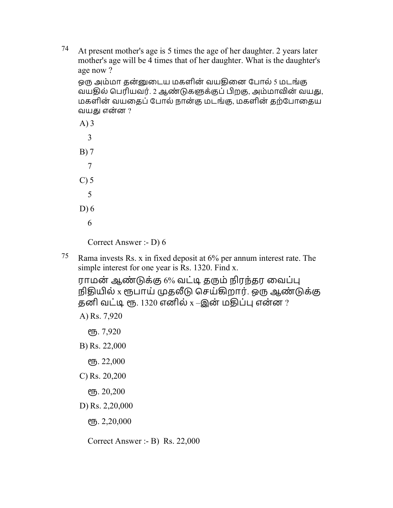74 At present mother's age is 5 times the age of her daughter. 2 years later mother's age will be 4 times that of her daughter. What is the daughter's age now ?

ஒரு அம்மா தன்னுடைய மகளின் வயதினை போல் 5 மடங்கு வயதில் பெரியவர். 2 ஆண்டுகளுக்குப் பிறகு, அம்மாவின் வயது, மகளின் வயதைப் போல் நான்கு மடங்கு, மகளின் தற்போதைய வயது என்ன  $?$ 

| $A)$ 3  |  |
|---------|--|
| 3       |  |
| B)7     |  |
| 7       |  |
| $C$ ) 5 |  |
| 5       |  |
| $D$ ) 6 |  |
| 6       |  |
|         |  |

Correct Answer :- D) 6

75 Rama invests Rs. x in fixed deposit at  $6\%$  per annum interest rate. The simple interest for one year is Rs. 1320. Find x.

ராமன் ஆண்டுக்கு 6% வட்டி தரும் நிரந்தர வைப்பு நிதியில் x ரூபாய் முதலீடு செய்கிறார். ஒரு ஆண்டுக்கு தனி வட்டி ரூ. 1320 எனில்  $x$  –இன் மதிப்பு என்ன ?

A) Rs. 7,920

. 7,920

B) Rs. 22,000

- . 22,000
- C) Rs. 20,200
	- . 20,200
- D) Rs. 2,20,000
	- . 2,20,000

Correct Answer :- B) Rs. 22,000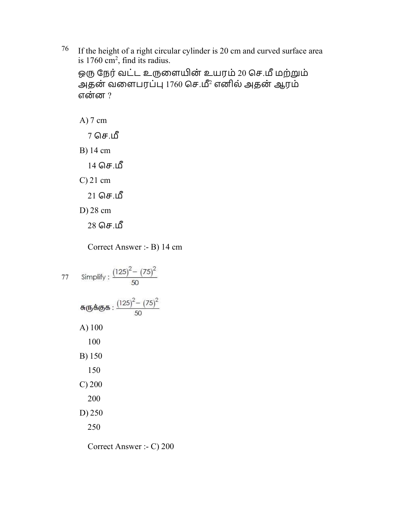<sup>76</sup> If the height of a right circular cylinder is 20 cm and curved surface area is  $1760 \text{ cm}^2$ , find its radius.

ஒரு நேர் வட்ட உருளையின் உயரம் 20 செ.மீ மற்றும் அதன் வளைபரப்பு 1760 செ.மீ<sup>2</sup> எனில் அதன் ஆரம் என்ன $\,$  ?

A) 7 cm  $7$  செ.மீ B) 14 cm

 $14$  செ.மீ

C) 21 cm

 $21$  செ.மீ

D) 28 cm

 $28$  செ.மீ

Correct Answer :- B) 14 cm

77 Simplify:  $\frac{(125)^2 - (75)^2}{50}$ சுருக்குக :  $\frac{(125)^2 - (75)^2}{50}$ A) 100 100 B) 150 150 C) 200 200 D) 250 250

Correct Answer :- C) 200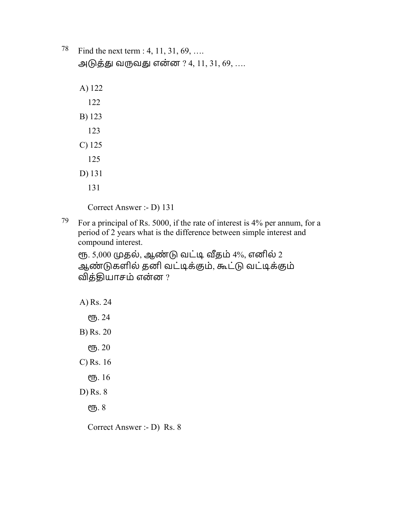|  | <sup>78</sup> Find the next term : 4, 11, 31, 69, |  |
|--|---------------------------------------------------|--|
|--|---------------------------------------------------|--|

அடுத்து வருவது என்ன ? 4, 11, 31, 69, ....

- A) 122
- 122
- B) 123
- 123
- C) 125
- 125
- D) 131
	- 131

Correct Answer :- D) 131

79 For a principal of Rs. 5000, if the rate of interest is  $4\%$  per annum, for a period of 2 years what is the difference between simple interest and compound interest.

ரூ. 5,000 முதல், ஆண்டு வட்டி வீதம் 4%, எனில் 2 ஆண்டுகளில் தனி வட்டிக்கும், கூட்டு வட்டிக்கும் வித்தியாசம் என்ன ?

A) Rs. 24 ரூ. 24 B) Rs. 20 ரூ. 20 C) Rs. 16 . 16 D) Rs. 8 ரூ. 8

Correct Answer :- D) Rs. 8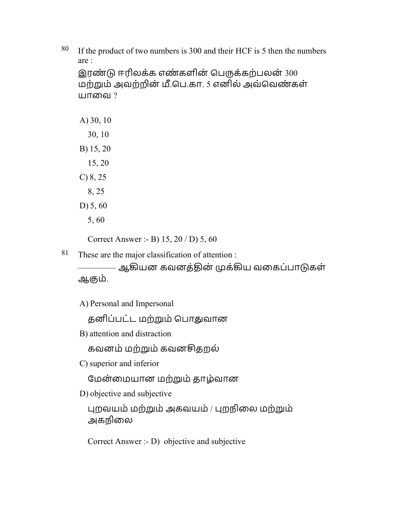$80$  If the product of two numbers is 300 and their HCF is 5 then the numbers are :

இரண்டு ஈரிலக்க எண்களின் பெருக்கற்பலன்  $300$ மற்றும் அவற்றின் மீ.பெ.கா. 5 எனில் அவ்வெண்கள் யாவை ?

A) 30, 10 30, 10 B) 15, 20 15, 20 C) 8, 25 8, 25

- D) 5, 60
	- 5, 60

Correct Answer :- B) 15, 20 / D) 5, 60

81 These are the major classification of attention :

–ஆகியன கவனத்தின் முக்கிய வகைப்பாடுகள் ஆஶம்.

A) Personal and Impersonal

தனிப்பட்ட மற்றும் பொதுவான

B) attention and distraction

கவனம் மற்ம் கவனதறல்

C) superior and inferior

மேன்மையான மற்றும் தாழ்வான

D) objective and subjective

 றவயம் மற்ம் அகவயம் / றநிைல மற்ம் அகநிலை

Correct Answer :- D) objective and subjective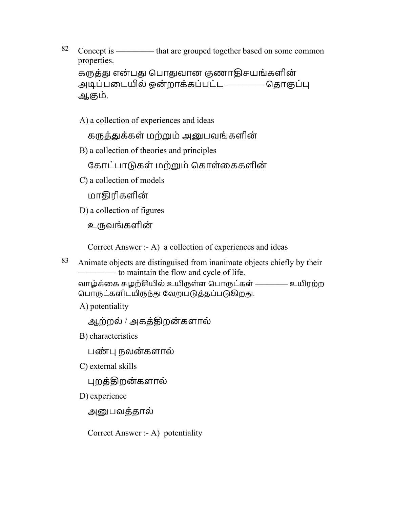82 Concept is  $\frac{82}{ }$  Concept is  $\frac{2}{ }$  that are grouped together based on some common properties. கருத்து என்பது பொதுவான குணாதிசயங்களின் அடிப்படையில் ஒன்றாக்கப்பட்ட ––––––––– தொகுப்பு ஆகும்.

A) a collection of experiences and ideas

கருத்துக்கள் மற்றும் அனுபவங்களின்

B) a collection of theories and principles

கோட்பாடுகள் மற்றும் கொள்கைகளின்

C) a collection of models

மாொரிகளின்

D) a collection of figures

உவங்களின்

Correct Answer :- A) a collection of experiences and ideas

83 Animate objects are distinguised from inanimate objects chiefly by their ––––––––– to maintain the flow and cycle of life.

வாழ்க்கை சுழற்சியில் உயிருள்ள பொருட்கள் ––––––––– உயிரற்ற பொருட்களிடமிருந்து வேறுபடுத்தப்படுகிறது.

A) potentiality

ஆற்றல் / அகத்ொறன்களால்

B) characteristics

பண் நலன்களால்

C) external skills

புறத்திறன்களால்

D) experience

அனுபவத்தால்

Correct Answer :- A) potentiality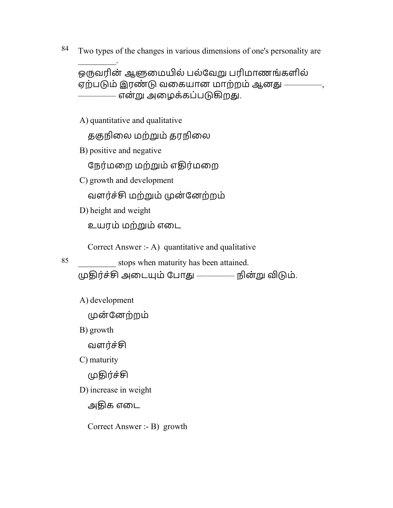84 Two types of the changes in various dimensions of one's personality are

ஒருவரின் ஆளுமையில் பல்வேறு பரிமாணங்களில் ஏற்படும் இரண்டு வகையான மாற்றம் ஆனது — என்று அழைக்கப்படுகிறது.

A) quantitative and qualitative

தகுநிலை மற்றும் தரநிலை

B) positive and negative

 $\mathcal{L}$ 

நேர்மறை மற்றும் எதிர்மறை

C) growth and development

வளர்ச்சி மற்றும் முன்னேற்றம்

D) height and weight

உயரம் மற்ம் எைட

Correct Answer :- A) quantitative and qualitative

85 \_\_\_\_\_\_\_\_\_ stops when maturity has been attained.

முதிர்ச்சி அடையும் போது ————— நின்று விடும்.

A) development

முன்னேற்றம்

B) growth

வளர்ச்சி

C) maturity

முதிர்ச்சி

D) increase in weight

அதிக எடை

Correct Answer :- B) growth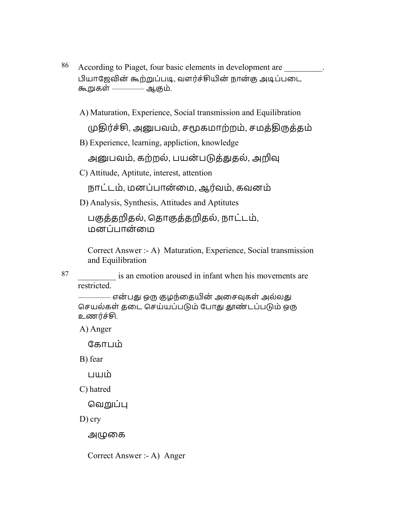86 According to Piaget, four basic elements in development are  $\qquad \qquad$ . பியாஜேவின் கூற்றுப்படி, வளர்ச்சியின் நான்கு அடிப்படை கூறுகள் –––––––– ஆகும்.

A) Maturation, Experience, Social transmission and Equilibration

முதிர்ச்சி, அனுபவம், சமூகமாற்றம், சமத்திருத்தம்

B) Experience, learning, appliction, knowledge

அனுபவம், கற்றல், பயன்படுத்துதல், அறிவு

C) Attitude, Aptitute, interest, attention

நாட்டம், மனப்பான்மை, ஆர்வம், கவனம்

D) Analysis, Synthesis, Attitudes and Aptitutes

பகுத்தறிதல், தொகுத்தறிதல், நாட்டம், மனப்பான்மை

Correct Answer :- A) Maturation, Experience, Social transmission and Equilibration

87 is an emotion aroused in infant when his movements are restricted.

––––––– என்பது ஒரு குழந்தையின் அசைவுகள் அல்லது செயல்கள் தடை செய்யப்படும் போது தூண்டப்படும் ஒரு உணர்ச்சி.

A) Anger

ேகாபம்

B) fear

பயம்

C) hatred

வெறுப்பு

D) cry

அழுகை

Correct Answer :- A) Anger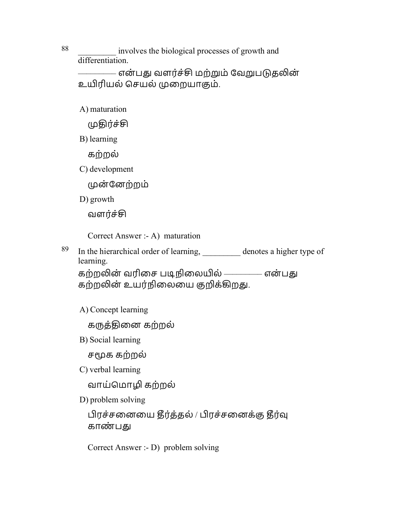88 \_\_\_\_\_\_\_\_\_ involves the biological processes of growth and differentiation.

– என்பது வளர்ச்சி மற்றும் வேறுபடுதலின<mark>்</mark> உயிரியல் செயல் முறையாகும்.

A) maturation

முதிர்ச்சி

B) learning

கற்றல்

C) development

முன்னேற்றம்

D) growth

வளர்ச்சி

Correct Answer :- A) maturation

 $89$  In the hierarchical order of learning, denotes a higher type of learning.

கற்றலின் வரிசை படிநிலையில் ————– என்பது கற்றலின் உயர்நிலையை குறிக்கிறது.

A) Concept learning

கருத்தினை கற்றல்

B) Social learning

சமூக கற்றல்

C) verbal learning

வாய்மொழி கற்றல்

D) problem solving

பிரச்சனையை தீர்த்தல் / பிரச்சனைக்கு தீர்வு காண்பது

Correct Answer :- D) problem solving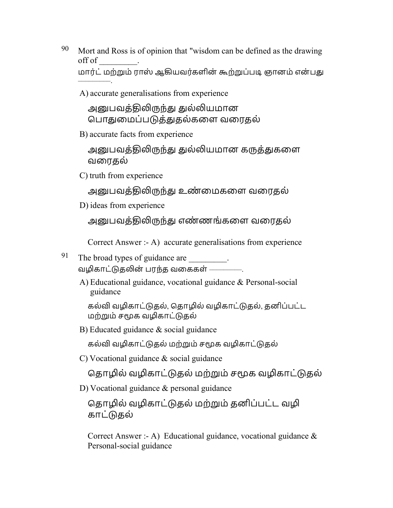- $90$  Mort and Ross is of opinion that "wisdom can be defined as the drawing off of \_\_\_\_\_\_\_\_\_. மார்ட் மற்றும் ராஸ் ஆகியவர்களின் கூற்றுப்படி ஞானம் என்பது
	- A) accurate generalisations from experience

அனுபவத்திலிருந்து துல்லியமான பொதுமைப்படுத்துதல்களை வரைதல்

B) accurate facts from experience

அனுபவத்திலிருந்து துல்லியமான கருத்துகளை வைரதல்

C) truth from experience

–––––––––.

அனுபவத்திலிருந்து உண்மைகளை வரைதல்

D) ideas from experience

அனுபவத்திலிருந்து எண்ணங்களை வரைதல்

Correct Answer :- A) accurate generalisations from experience

- 91 The broad types of guidance are  $\qquad \qquad$ . வழிகாட்டுகலின் பாந்த வகைகள் ––––––––––
	- A) Educational guidance, vocational guidance & Personal-social guidance

கல்வி வழிகாட்டுதல், தொழில் வழிகாட்டுதல், தனிப்பட்ட மற்றும் சமூக வழிகாட்டுதல்

B) Educated guidance & social guidance

கல்வி வழிகாட்டுதல் மற்றும் சமூக வழிகாட்டுதல்

C) Vocational guidance & social guidance

தொழில் வழிகாட்டுதல் மற்றும் சமூக வழிகாட்டுதல்

D) Vocational guidance & personal guidance

தொழில் வழிகாட்டுதல் மற்றும் தனிப்பட்ட வழி காட்தல்

Correct Answer :- A) Educational guidance, vocational guidance  $\&$ Personal-social guidance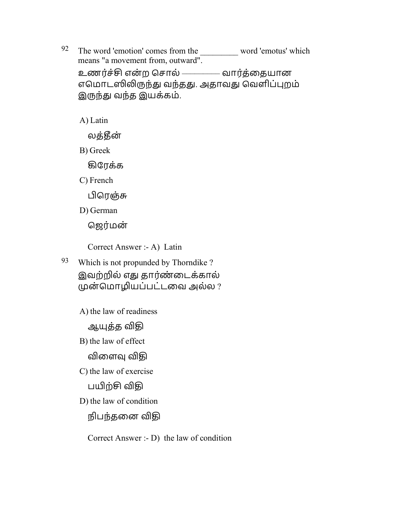$92$  The word 'emotion' comes from the word 'emotus' which means "a movement from, outward". உணர்ச்சி என்ற சொல் ––––––––– வார்த்தையான எமொடஸிலிருந்து வந்தது. அதாவது வெளிப்புறம் இருந்து வந்த இயக்கம்.

A) Latin

லக்கீன்

B) Greek

ழேரக்க

C) French

பிரெஞ்சு

D) German

ஜெர்மன்

Correct Answer :- A) Latin

- 93 Which is not propunded by Thorndike ? இவற்றில் எது தார்ண்டைக்கால் முன்மொழியப்பட்டவை அல்ல ?
	- A) the law of readiness

ஆயுத்த விதி

B) the law of effect

விளைவு விகி

C) the law of exercise

பயிற்சி விதி

D) the law of condition

நிபந்தனை விதி

Correct Answer :- D) the law of condition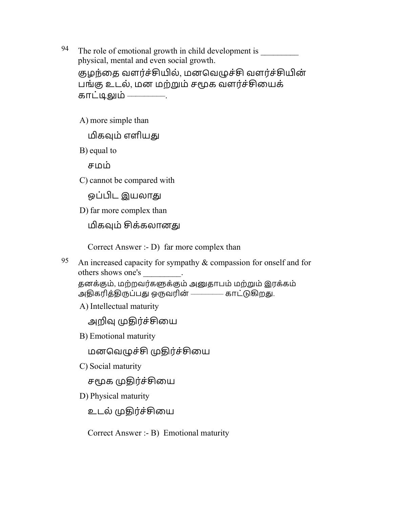- 94 The role of emotional growth in child development is physical, mental and even social growth. குழந்தை வளர்ச்சியில், மனவெழுச்சி வளர்ச்சியின் பங்கு உடல், மன மற்றும் சமூக வளர்ச்சியைக் காட்டிலும் ––––––––––
	- A) more simple than

மிகவும் எளியது

B) equal to

சமம்

C) cannot be compared with

ஒப்பிட இயலாது

D) far more complex than

மிகவும் சிக்கலானது

Correct Answer :- D) far more complex than

95 An increased capacity for sympathy  $\&$  compassion for onself and for others shows one's \_\_\_\_\_\_\_\_.

```
தனக்கும், மற்றவர்களுக்கும் அனுதாபம் மற்றும் இரக்கம்
அதிகரித்திருப்பது ஒருவரின் –––––––– காட்டுகிறது.
```
A) Intellectual maturity

அறிவ முதிர்ச்சியை

B) Emotional maturity

மனவெழுச்சி முதிர்ச்சியை

C) Social maturity

சமூக முதிர்ச்சியை

D) Physical maturity

உடல் முதிர்ச்சியை

Correct Answer :- B) Emotional maturity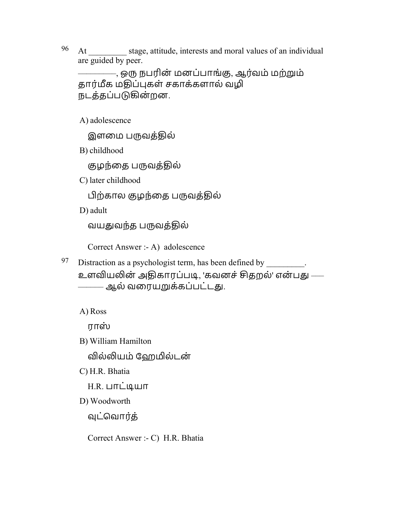<sup>96</sup> At \_\_\_\_\_\_\_\_\_ stage, attitude, interests and moral values of an individual are guided by peer.

–––––––––, ஒ நபரின் மனப்பாங்ஶ, ஆரவ் ம் மற்ம் தார்மீக மதிப்புகள் சகாக்களால் வழி நடத்தப்படுகின்றன.

A) adolescence

இளமை பருவத்தில்

B) childhood

குழந்தை பருவத்தில்

C) later childhood

பிற்கால குழந்தை பருவத்தில்

D) adult

வயதுவந்த பருவத்தில்

Correct Answer :- A) adolescence

97 Distraction as a psychologist term, has been defined by  $\frac{1}{\sqrt{2\pi}}$ . உளவியலின் அதிகாரப்படி, 'கவனச் சிகறல்' என்பது —– –––––– ஆல் வைரயக்கப்பட்டௌ.

A) Ross

ராஸ்

B) William Hamilton

வில்லியம் வேறமில்டன்

C) H.R. Bhatia

 $H.R.$  பாட்டியா

D) Woodworth

வுட்வொர்த்

Correct Answer :- C) H.R. Bhatia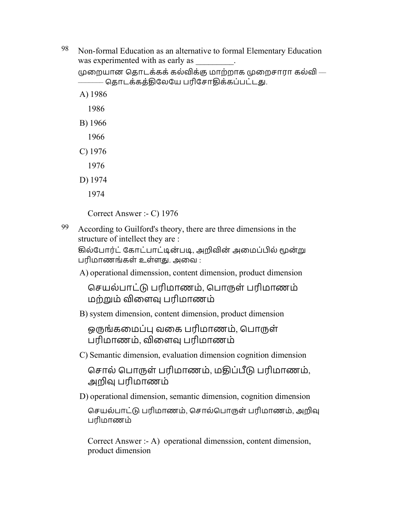98 Non-formal Education as an alternative to formal Elementary Education was experimented with as early as

முறையான கொடக்கக் கல்விக்கு மாற்றாக முறைசாரா கல்வி $-$ ––––––– ெதாடக்கத்ொேலேய பரிேசாொக்கப்பட்டௌ.

- A) 1986
	- 1986
- B) 1966
- 1966
- C) 1976
- 1976
- D) 1974
	- 1974

Correct Answer :- C) 1976

 $99$  According to Guilford's theory, there are three dimensions in the structure of intellect they are :

கில்போர்ட் கோட்பாட்டின்படி, அறிவின் அமைப்பில் மூன்று பரிமாணங்கள் உள்ளது. அவை :

A) operational dimenssion, content dimension, product dimension

செயல்பாட்டு பரிமாணம், பொருள் பரிமாணம் மற்றும் விளைவு பரிமாணம்

B) system dimension, content dimension, product dimension

ஒருங்கமைப்பு வகை பரிமாணம், பொருள் பரிமாணம், விளைவு பரிமாணம்

C) Semantic dimension, evaluation dimension cognition dimension

சொல் பொருள் பரிமாணம், மதிப்பீடு பரிமாணம், அ௵ பரிமாணம்

D) operational dimension, semantic dimension, cognition dimension

 ெசயல்பாட் பரிமாணம், ெசால்ெபாள் பரிமாணம், அ௵ பரிமாணம்

Correct Answer :- A) operational dimenssion, content dimension, product dimension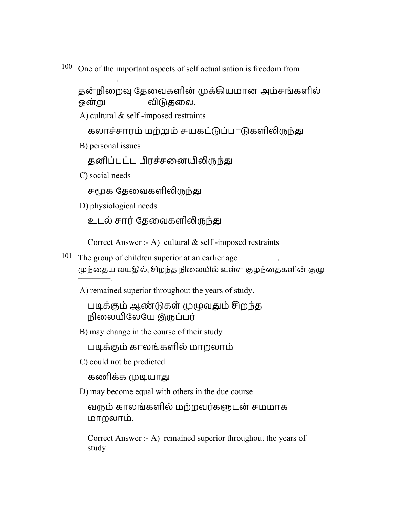100 One of the important aspects of self actualisation is freedom from

தன்நிறைவு தேவைகளின் முக்கியமான அம்சங்களில் ஒன்று ––––––––– விடுதலை.

A) cultural & self -imposed restraints

கலாச்சாரம் மற்றும் சுயகட்டுப்பாடுகளிலிருந்து

B) personal issues

 $\mathcal{L}$ 

தனிப்பட்ட பிரச்சனையிலிருந்து

C) social needs

சமூக கேவைகளிலிருந்து

D) physiological needs

உடல் சார் தேவைகளிலிருந்து

Correct Answer :- A) cultural & self -imposed restraints

- <sup>101</sup> The group of children superior at an earlier age \_\_\_\_\_\_\_\_. முந்தைய வயதில், சிறந்த நிலையில் உள்ள குழந்தைகளின் குழு –––––––––.
	- A) remained superior throughout the years of study.

படிக்கும் ஆண்டுகள் முழுவதும் சிறந்த நிைலேலேய இப்பர்

B) may change in the course of their study

பூக்ஶம் காலங்களில் மாறலாம்

C) could not be predicted

கணிக்க முடியாது

D) may become equal with others in the due course

வரும் காலங்களில் மற்றவர்களுடன் சமமாக மாறலாம்.

Correct Answer :- A) remained superior throughout the years of study.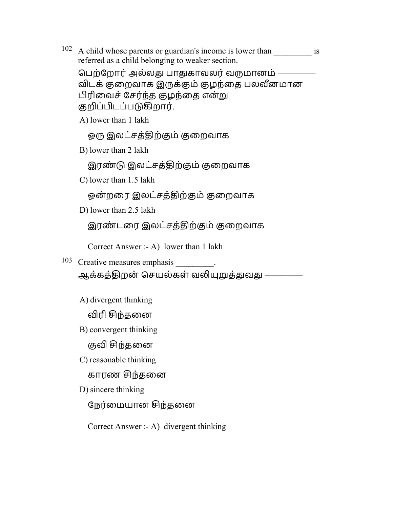$102$  A child whose parents or guardian's income is lower than is referred as a child belonging to weaker section.

பெற்றோர் அல்லது பாதுகாவலர் வருமானம் – விடக் குறைவாக இருக்கும் குழந்தை பலவீனமான பிரிவைச் சேர்ந்த குழந்தை என்று குறிப்பிடப்படுகிறார்.

A) lower than 1 lakh

ஒரு இலட்சத்திற்கும் குறைவாக

B) lower than 2 lakh

இரண்டு இலட்சத்திற்கும் குறைவாக

C) lower than 1.5 lakh

ஒன்றரை இலட்சத்திற்கும் குறைவாக

D) lower than 2.5 lakh

இரண்டரை இலட்சத்திற்கும் குறைவாக

Correct Answer :- A) lower than 1 lakh

103 Creative measures emphasis \_\_\_\_\_\_\_\_.

ஆக்கத்திறன் செயல்கள் வலியுறுத்துவது ––––––––

A) divergent thinking

விரி சிந்தனை

B) convergent thinking

குவி சிந்தனை

C) reasonable thinking

காரண சிந்தனை

D) sincere thinking

நேர்மையான சிந்தனை

Correct Answer :- A) divergent thinking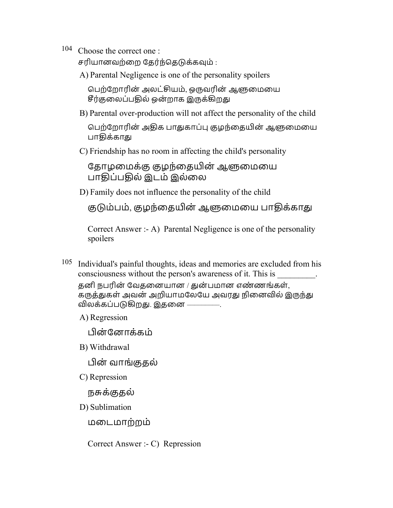104 Choose the correct one :

சரியானவற்றை தேர்ந்தெடுக்கவும் :

A) Parental Negligence is one of the personality spoilers

பெற்றோரின் அலட்சியம், ஒருவரின் ஆளுமையை சீர்குலைப்பகில் ஒன்றாக இருக்கிறது

B) Parental over-production will not affect the personality of the child

பெற்றோரின் அதிக பாதுகாப்பு குழந்தையின் ஆளுமையை பாகிக்காது

C) Friendship has no room in affecting the child's personality

தோழமைக்கு குழந்தையின் ஆளுமையை பாதிப்பதில் இடம் இல்லை

D) Family does not influence the personality of the child

குடும்பம், குழந்தையின் ஆளுமையை பாதிக்காது

Correct Answer :- A) Parental Negligence is one of the personality spoilers

105 Individual's painful thoughts, ideas and memories are excluded from his consciousness without the person's awareness of it. This is \_\_\_\_\_\_\_\_\_. தனி நபரின் வேதனையான / துன்பமான எண்ணங்கள், கருத்துகள் அவன் அறியாமலேயே அவரது நினைவில் இருந்து விலக்கப்படுகிறது. இதனை –

A) Regression

பின்னோக்கம்

B) Withdrawal

ன் வாங்ஶதல்

C) Repression

நாக்ஶதல்

D) Sublimation

மைடமாற்றம்

Correct Answer :- C) Repression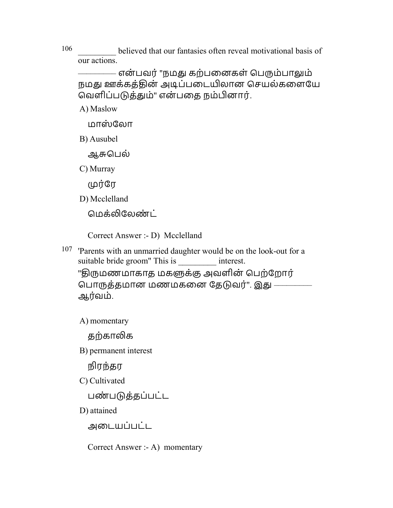106 believed that our fantasies often reveal motivational basis of our actions.

– என்பவர் "நமது கற்பனைகள் பெரும்பாலும் நமது ஊக்கத்தின் அடிப்படையிலான செயல்களையே வெளிப்படுத்தும்" என்பதை நம்பினார்.

A) Maslow

மாஸ்லோ

B) Ausubel

ஆசுபெல்

C) Murray

முர்ரே

D) Mcclelland

மெக்லிலேண்ட்

Correct Answer :- D) Mcclelland

107 'Parents with an unmarried daughter would be on the look-out for a suitable bride groom" This is interest. ''திருமணமாகாத மகளுக்கு அவளின் பெற்றோர் பொருத்தமான மணமகனை தேடுவர்". இது — ஆர்வம்.

A) momentary

கற்காலிக

B) permanent interest

நிரந்தர

C) Cultivated

பண்படுத்தப்பட்ட

D) attained

அைடயப்படட்

Correct Answer :- A) momentary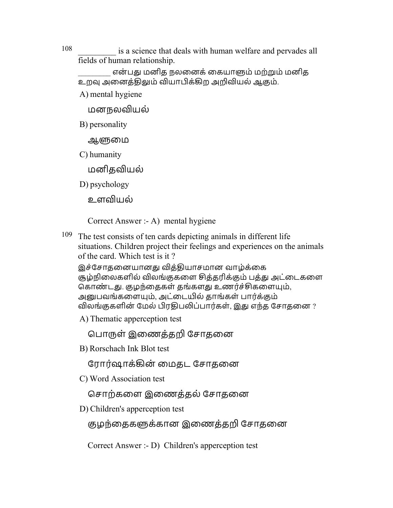108 **108** is a science that deals with human welfare and pervades all fields of human relationship.

என்பது மனித நலனைக் கையாளும் மற்றும் மனித உறவு அனைத்திலும் வியாபிக்கிற அறிவியல் ஆகும்.

A) mental hygiene

மனநலவியல்

B) personality

ஆ௬ைம

C) humanity

மனிதவியல்

D) psychology

உளவியல்

Correct Answer :- A) mental hygiene

109 The test consists of ten cards depicting animals in different life situations. Children project their feelings and experiences on the animals of the card. Which test is it ?

இச்சோதனையானது வித்தியாசமான வாழ்க்கை சூழ்நிலைகளில் விலங்குகளை சித்தரிக்கும் பத்து அட்டைகளை கொண்டது. குழந்தைகள் தங்களது உணர்ச்சிகளையும், அனுபவங்களையும், அட்டையில் தாங்கள் பார்க்கும் விலங்குகளின் மேல் பிரதிபலிப்பார்கள், இது எந்த சோதனை ?

A) Thematic apperception test

பொருள் இணைத்தறி சோதனை

B) Rorschach Ink Blot test

ரோர்ஷாக்கின் மைதட சோதனை

C) Word Association test

சொற்களை இணைத்தல் சோதனை

D) Children's apperception test

குழந்தைகளுக்கான இணைத்தறி சோதனை

Correct Answer :- D) Children's apperception test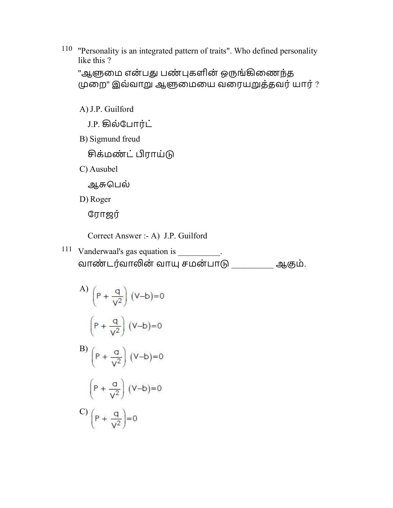110 ''Personality is an integrated pattern of traits". Who defined personality like this ?

```
''ஆளுமை என்பது பண்புகளின் ஒருங்கிணைந்த
முறை" இவ்வாறு ஆளுமையை வரையறுத்தவர் யார் ?
```
A) J.P. Guilford

J.P. ழல்ேபாரட் ்

B) Sigmund freud

```
சிக்மண்ட் பிராய்டு
```
C) Ausubel

ஆசுபெல்

D) Roger

ேராஜர்

Correct Answer :- A) J.P. Guilford

<sup>111</sup> Vanderwaal's gas equation is \_\_\_\_\_\_\_\_\_. வாண்டர்வாலின் வாயு சமன்பாடு பா ஆகும்.

A) 
$$
\left(P + \frac{q}{V^2}\right) (V-b)=0
$$
  
 $\left(P + \frac{q}{V^2}\right) (V-b)=0$   
B)  $\left(P + \frac{q}{V^2}\right) (V-b)=0$   
 $\left(P + \frac{q}{V^2}\right) (V-b)=0$   
C)  $\left(P + \frac{q}{V^2}\right)=0$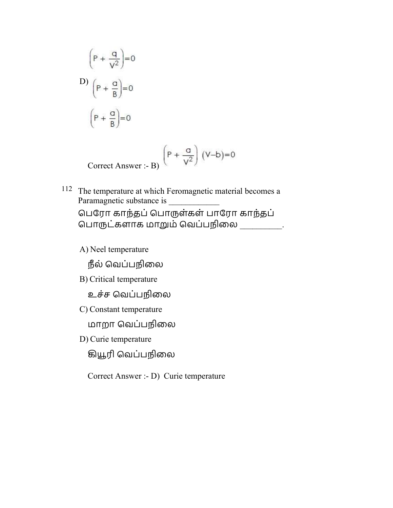$$
\left(P + \frac{q}{v^2}\right) = 0
$$
  
D) 
$$
\left(P + \frac{q}{B}\right) = 0
$$

$$
\left(P + \frac{q}{B}\right) = 0
$$

Correct Answer :- B)  $\left(P + \frac{a}{v^2}\right)(V-b)=0$ 

- 112 The temperature at which Feromagnetic material becomes a Paramagnetic substance is ெபேரா காந்தப்ெபாள்கள் பாேரா காந்தப் பொருட்களாக மாறும் வெப்பநிலை \_\_\_\_\_\_\_\_\_.
	- A) Neel temperature

நீல் வெப்பநிலை

- B) Critical temperature
	- உச்ச வெப்பநிலை
- C) Constant temperature

மாறா ெவப்பநிைல

D) Curie temperature

ழரி ெவப்பநிைல

Correct Answer :- D) Curie temperature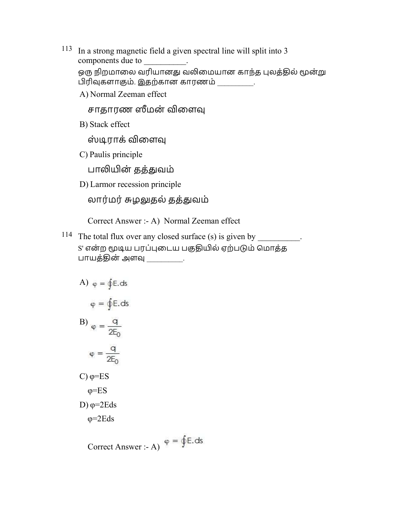- 113 In a strong magnetic field a given spectral line will split into 3 components due to  $\qquad \qquad$ . ஒரு நிறமாலை வரியானது வலிமையான காந்த புலத்தில் மூன்று பிரிவுகளாகும். இதற்கான காரணம்  $\qquad \qquad$  .
	- A) Normal Zeeman effect

சாதாரண ஸீமன் விளைவு

B) Stack effect

ஸ்டிராக் விளைவு

C) Paulis principle

பாலியின் தத்துவம்

D) Larmor recession principle

லார்மர் சுழலுதல் தத்துவம்

Correct Answer :- A) Normal Zeeman effect

<sup>114</sup> The total flux over any closed surface (s) is given by \_\_\_\_\_\_\_\_\_. S' என்ற மூடிய பரப்புடைய பகுதியில் ஏற்படும் மொத்த பாயத்தின் அளவு \_\_\_\_\_\_\_\_.

A) 
$$
\varphi = \oint E \cdot ds
$$
  
\n $\varphi = \oint E \cdot ds$   
\nB)  $\varphi = \frac{q}{2E_0}$   
\n $\varphi = \frac{q}{2E_0}$   
\nC)  $\varphi = ES$   
\nC)  $\varphi = ES$   
\nD)  $\varphi = 2Eds$ 

$$
Correct Answer: A) \phi = \oint \mathsf{E}.\,\mathrm{ds}
$$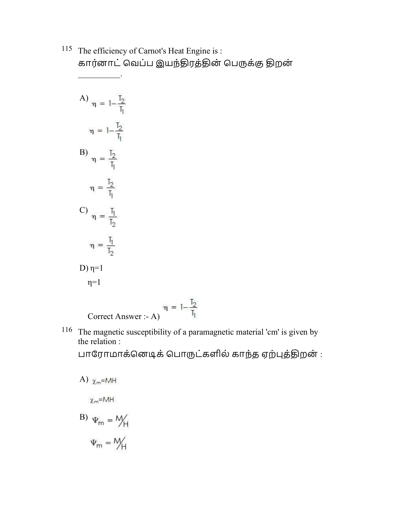115 The efficiency of Carnot's Heat Engine is : கார்னாட் வெப்ப இயந்திரத்தின் பெருக்கு திறன்  $\frac{1}{2}$ 

A) 
$$
\eta = 1 - \frac{T_2}{T_1}
$$
  
\n
$$
\eta = 1 - \frac{T_2}{T_1}
$$
  
\nB) 
$$
\eta = \frac{T_2}{T_1}
$$
  
\n
$$
\eta = \frac{T_2}{T_1}
$$
  
\nC) 
$$
\eta = \frac{T_1}{T_2}
$$
  
\n
$$
\eta = \frac{T_1}{T_2}
$$
  
\nD) 
$$
\eta = 1
$$

Correct Answer :- A)  $\eta = 1 - \frac{T_2}{T_1}$ 

116 The magnetic susceptibility of a paramagnetic material 'cm' is given by the relation :

பாரோமாக்னெடிக் பொருட்களில் காந்த ஏற்புத்திறன் :

A) 
$$
\chi_m = MAH
$$
  
\nB) 
$$
\Psi_m = MH
$$
  
\n
$$
\Psi_m = MH
$$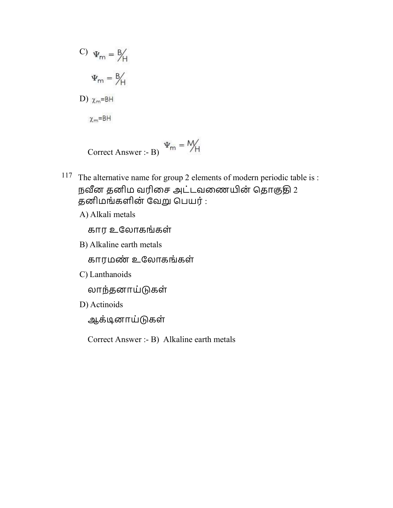C) 
$$
\Psi_m = B/H
$$
  
\n $\Psi_m = B/H$   
\nD)  $\chi_m=BH$   
\n $\chi_m=BH$ 

$$
Correct Answer: B) \Psi_m = M_H
$$

- 117 The alternative name for group 2 elements of modern periodic table is : நவீன தனிம வரிசை அட்டவணையின் தொகுதி  $2$ தனிமங்களின் வேறு பெயர் :
	- A) Alkali metals

கார உேலாகங்கள்

B) Alkaline earth metals

காரமண் உேலாகங்கள்

C) Lanthanoids

லாந்தனாய்கள்

D) Actinoids

ஆக்ூனாய்கள்

Correct Answer :- B) Alkaline earth metals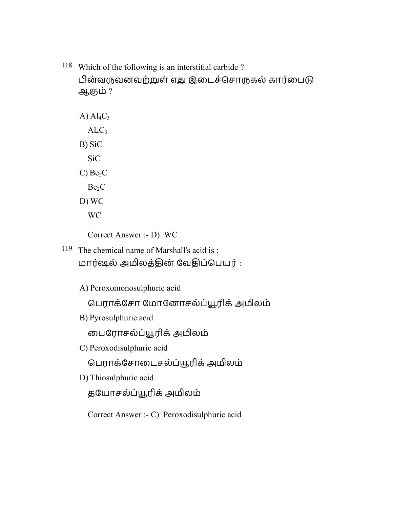118 Which of the following is an interstitial carbide ? பின்வருவனவற்றுள் எது இடைச்சொருகல் கார்பைடு ஆஶம் ?

A)  $Al_4C_3$  $Al_4C_3$ B) SiC SiC  $C)$  Be<sub>2</sub> $C$  $Be<sub>2</sub>C$ D) WC WC

Correct Answer :- D) WC

119 The chemical name of Marshall's acid is : மார்ஷல் அமிலத்தின் வேதிப்பெயர் :

A) Peroxomonosulphuric acid

ெபராக்ேசா ேமாேனாசல்ப்ரிக்அலம்

B) Pyrosulphuric acid

ைபேராசல்ப்ரிக்அலம்

C) Peroxodisulphuric acid

ெபராக்ேசாைடசல்ப்ரிக்அலம்

D) Thiosulphuric acid

தேயாசல்ப்ரிக்அலம்

Correct Answer :- C) Peroxodisulphuric acid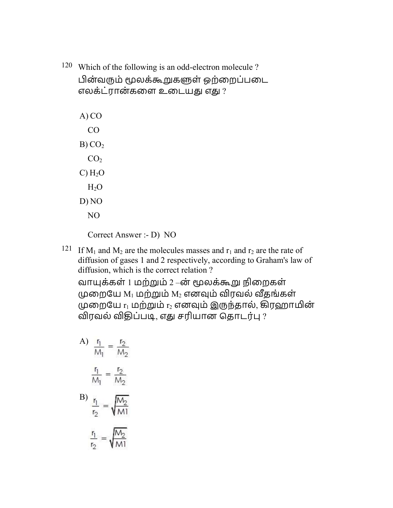120 Which of the following is an odd-electron molecule ? பின்வரும் மூலக்கூறுகளுள் ஒற்றைப்படை எலக்ட்ரான்களை உடையது எது ?

| A) CO             |  |
|-------------------|--|
| CO                |  |
| B)CO <sub>2</sub> |  |
| CO <sub>2</sub>   |  |
| $C)$ $H_2O$       |  |
| $H_2O$            |  |
| D) NO             |  |
| NΟ                |  |

Correct Answer :- D) NO

<sup>121</sup> If  $M_1$  and  $M_2$  are the molecules masses and  $r_1$  and  $r_2$  are the rate of diffusion of gases 1 and 2 respectively, according to Graham's law of diffusion, which is the correct relation ?

வாக்கள் 1 மற்ம் 2 –ன் லக்ஷ நிைறகள் முறையே  $M_1$  மற்றும்  $M_2$  எனவும் விரவல் வீதங்கள் முறையே  $r_1$  மற்றும்  $r_2$  எனவும் இருந்தால், கிரஹாமின் விரவல் விதிப்படி, எது சரியான தொடர்பு ?

A) 
$$
\frac{r_1}{M_1} = \frac{r_2}{M_2}
$$

$$
\frac{r_1}{M_1} = \frac{r_2}{M_2}
$$
  
B) 
$$
\frac{r_1}{r_2} = \sqrt{\frac{M_2}{M_1}}
$$

$$
\frac{r_1}{r_2} = \sqrt{\frac{M_2}{M_1}}
$$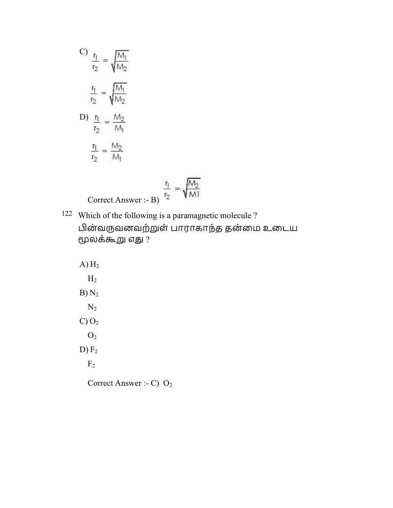C) 
$$
\frac{r_1}{r_2} = \sqrt{\frac{M_1}{M_2}}
$$

$$
\frac{r_1}{r_2} = \sqrt{\frac{M_1}{M_2}}
$$

$$
D) \frac{r_1}{r_2} = \frac{M_2}{M_1}
$$

$$
\frac{r_1}{r_2} = \frac{M_2}{M_1}
$$

$$
\frac{r_1}{r_2} = \sqrt{\frac{M_2}{M1}}
$$
Correct Answer :- B)

- 122 Which of the following is a paramagnetic molecule ? பின்வருவனவற்றுள் பாராகாந்த தன்மை உடைய மூலக்கூறு எது ?
	- $A) H<sub>2</sub>$  $H<sub>2</sub>$  $B) N<sub>2</sub>$  $N_2$  $C) O<sub>2</sub>$  $O<sub>2</sub>$  $D) F<sub>2</sub>$  $F<sub>2</sub>$ Correct Answer :- C) O<sub>2</sub>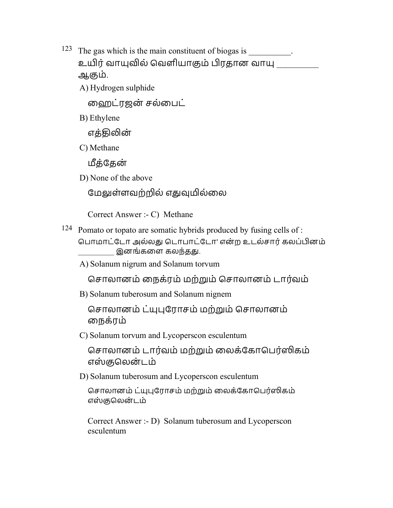- <sup>123</sup> The gas which is the main constituent of biogas is \_\_\_\_\_\_\_\_\_. உயிர் வாயுவில் வெளியாகும் பிரதான வாயு \_\_\_\_\_\_\_\_\_ ஆஶம்.
	- A) Hydrogen sulphide

ைஹட்ரஜன் சல்ைபட்

B) Ethylene

எத்திலின்

C) Methane

மீக்கேன்

D) None of the above

மேலுள்ளவற்றில் எதுவுமில்லை

Correct Answer :- C) Methane

124 Pomato or topato are somatic hybrids produced by fusing cells of :

பொமாட்டோ அல்லது டொபாட்டோ' என்ற உடல்சார் கலப்பினம் இனங்களை கலந்தது.

A) Solanum nigrum and Solanum torvum

சொலானம் நைக்ரம் மற்றும் சொலானம் டார்வம்

B) Solanum tuberosum and Solanum nignem

 ெசாலானம் ட்ேராசம் மற்ம் ெசாலானம் ைநக்ரம்

C) Solanum torvum and Lycoperscon esculentum

சொலானம் டார்வம் மற்றும் லைக்கோபெர்ஸிகம் எஸ்குலென்டம்

D) Solanum tuberosum and Lycoperscon esculentum

சொலானம் ட்யுபுரோசம் மற்றும் லைக்கோபெர்ஸிகம் எஸ்குலென்டம்

Correct Answer :- D) Solanum tuberosum and Lycoperscon esculentum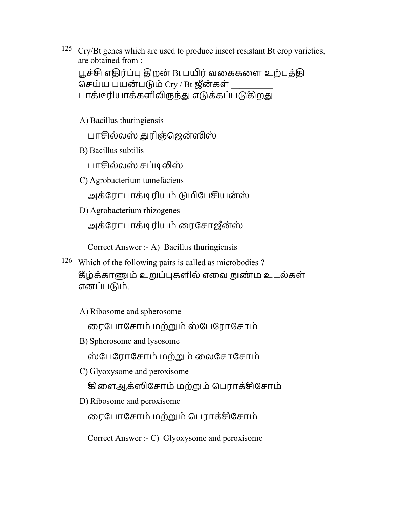<sup>125</sup> Cry/Bt genes which are used to produce insect resistant Bt crop varieties, are obtained from :

பூச்சி எதிர்ப்பு திறன் Bt பயிர் வகைகளை உற்பத்தி செய்ய பயன்படும் Cry / Bt ஜீன்கள் பாக்டீரியாக்களிலிருந்து எடுக்கப்படுகிறது.

A) Bacillus thuringiensis

பாசில்லஸ் துரிஞ்ஜென்ஸிஸ்

B) Bacillus subtilis

பாசில்லஸ் சப்டிலிஸ்

C) Agrobacterium tumefaciens

அக்ரோபாக்டிரியம் டுமிபேசியன்ஸ்

D) Agrobacterium rhizogenes

அக்ரோபாக்டிரியம் ரைசோஜீன்ஸ்

Correct Answer :- A) Bacillus thuringiensis

- 126 Which of the following pairs is called as microbodies ? கீழ்க்காணும் உறுப்புகளில் எவை நுண்ம உடல்கள் எனப்பம்.
	- A) Ribosome and spherosome

ைரேபாேசாம் மற்ம்ஸ் ேபேராேசாம்

B) Spherosome and lysosome

ஸ் ேபேராேசாம் மற்ம்ைலேசாேசாம்

C) Glyoxysome and peroxisome

கிளைஆக்ஸிசோம் மற்றும் பெராக்சிசோம்

D) Ribosome and peroxisome

ரைபோசோம் மற்றும் பெராக்சிசோம்

Correct Answer :- C) Glyoxysome and peroxisome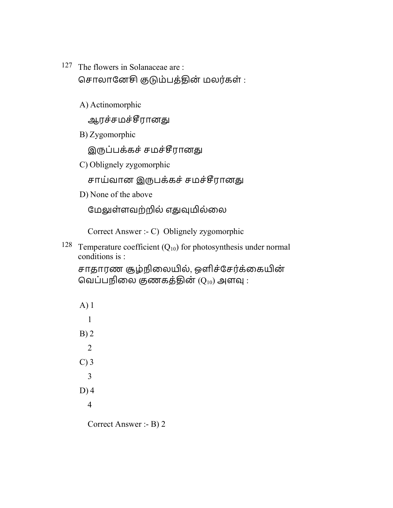- 127 The flowers in Solanaceae are : சொலானேசி குடும்பத்தின் மலர்கள் :
	- A) Actinomorphic

ஆரச்சமச்சீரானது

B) Zygomorphic

இருப்பக்கச் சமச்சீரானது

C) Oblignely zygomorphic

சாய்வான இருபக்கச் சமச்சீரானது

D) None of the above

மேலுள்ளவற்றில் எதுவுமில்லை

Correct Answer :- C) Oblignely zygomorphic

<sup>128</sup> Temperature coefficient  $(Q_{10})$  for photosynthesis under normal conditions is :

சாதாரண சூழ்நிலையில், ஒளிச்சேர்க்கையின் வெப்பநிலை குணகத்தின்  $(Q_{10})$  அளவு :

A) 1 1 B) 2 2 C) 3 3 D) 4 4 Correct Answer :- B) 2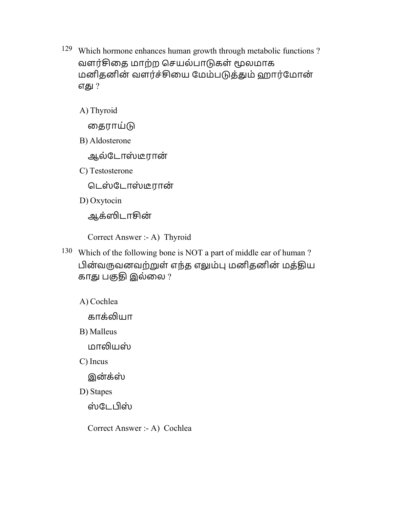129 Which hormone enhances human growth through metabolic functions ? வளர்சிதை மாற்ற செயல்பாடுகள் மூலமாக மனிதனின் வளர்ச்சியை மேம்படுத்தும் ஹார்மோன் எது ?

A) Thyroid

தைராய்டு

B) Aldosterone

ஆல்டோஸ்டீரான்

C) Testosterone

டெஸ்டோஸ்டீரான்

D) Oxytocin

ஆக்ஸிடாசின்

Correct Answer :- A) Thyroid

- 130 Which of the following bone is NOT a part of middle ear of human ? பின்வருவனவற்றுள் எந்த எலும்பு மனிதனின் மத்திய காது பகுதி இல்லை ?
	- A) Cochlea

காக்லியா

B) Malleus

மாலியஸ்

C) Incus

இன்க்ஸ்

D) Stapes

ஸ்டேபிஸ்

Correct Answer :- A) Cochlea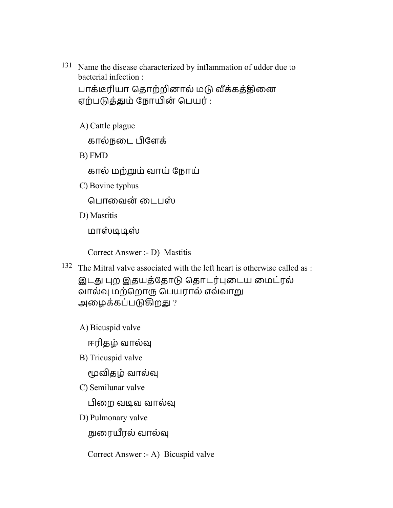131 Name the disease characterized by inflammation of udder due to bacterial infection :

பாக்டீரியா தொற்றினால் மடு வீக்கத்தினை ஏற்பத்ௌம் ேநான் ெபயர் :

A) Cattle plague

கால்நடை பிளேக்

B) FMD

கால் மற்ம் வாய் ேநாய்

C) Bovine typhus

ெபாைவன் ைடபஸ்

D) Mastitis

மாஸ்டிடிஸ்

Correct Answer :- D) Mastitis

132 The Mitral valve associated with the left heart is otherwise called as :

இடது புற இதயத்தோடு தொடர்புடைய மைட்ரல் வால்வு மற்றொரு பெயரால் எவ்வாறு அழைக்கப்படுகிறது ?

A) Bicuspid valve

ஈரிதழ் வால்௵

B) Tricuspid valve

மூவிதழ் வால்வு

C) Semilunar valve

பிறை வடிவ வால்வு

D) Pulmonary valve

நுரையீரல் வால்வு

Correct Answer :- A) Bicuspid valve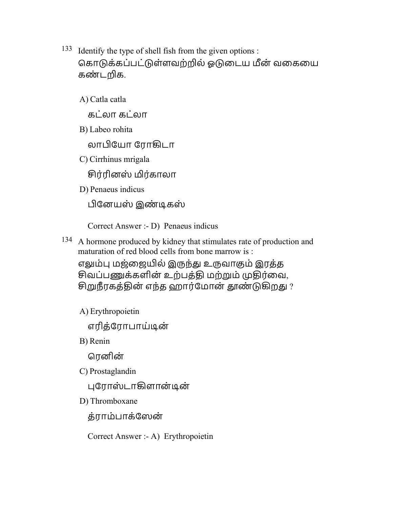133 Identify the type of shell fish from the given options : கொடுக்கப்பட்டுள்ளவற்றில் ஓடுடைய மீன் வகையை கண்டறிக.

A) Catla catla

கட்லா கட்லா

B) Labeo rohita

லாேயா ேராழடா

C) Cirrhinus mrigala

சிர்ரினஸ் மிர்காலா

D) Penaeus indicus

பினேயஸ் இண்டிகஸ்

Correct Answer :- D) Penaeus indicus

134 A hormone produced by kidney that stimulates rate of production and maturation of red blood cells from bone marrow is :

எலும்பு மஜ்ஜையில் இருந்து உருவாகும் இரத்த சிவப்பணுக்களின் உற்பத்தி மற்றும் முதிர்வை, சிறுநீரகத்தின் எந்த ஹார்மோன் தூண்டுகிறது ?

A) Erythropoietin

எரித்ேராபாய்ூன்

B) Renin

ெரனின்

C) Prostaglandin

புரோஸ்டாகிளான்டின்

D) Thromboxane

த்ராம்பாக்ேஸன்

Correct Answer :- A) Erythropoietin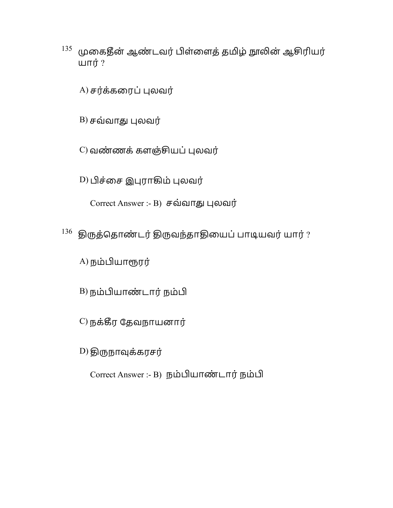- $^{135}$  முகைதீன் ஆண்டவர் பிள்ளைத் தமிழ் நூலின் ஆசிரியர் யார் $?$ 
	- $(A)$  சர்க்கரைப் புலவர்
	- $B$ ) சவ்வாது புலவர்
	- $C$ ) வண்ணக் களஞ்சியப் புலவர்
	- D) பிச்சை இபுராகிம் புலவர்
		- Correct Answer :- B) சவ்வாது புலவர்
- $136$  இருத்தொண்டர் திருவந்தாதியைப் பாடியவர் யார் ?
	- $A$ ) நம்பியாரூரர்
	- B) நம்பியாண்டார் நம்பி
	- $C$ ) நக்கீர தேவநாயனார்
	- $D$ ) திருநாவுக்கரசர்
		- Correct Answer :- B) நம்பியாண்டார் நம்பி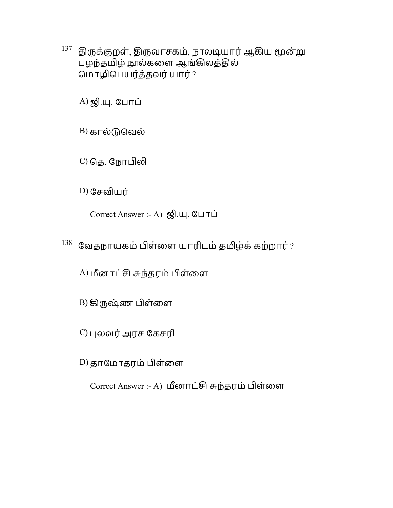$^{137}$  திருக்குறள், திருவாசகம், நாலடியார் ஆகிய மூன்று பழந்தமிழ் நூல்களை ஆங்கிலத்தில் மொழிபெயர்த்தவர் யார் ?

 $(A)$  ஜி.யு. போப்

 $B$ ) கால்டுவெல்

 $C$ ) தெ. நோபிலி

 $D)$  சேவியர்

Correct Answer :- A) ஜி.யு. போப்

 $^{138}$  வேதநாயகம் பிள்ளை யாரிடம் தமிழ்க் கற்றார் ?

A) மீனாட்சி சுந்தரம் பிள்ளை

 $B$ ) கிருஷ்ண பிள்ளை

 $C$ ) புலவர் அரச கேசரி

D) தாமோதரம் பிள்ளை

Correct Answer :- A) மீனாட்சி சுந்தரம் பிள்ளை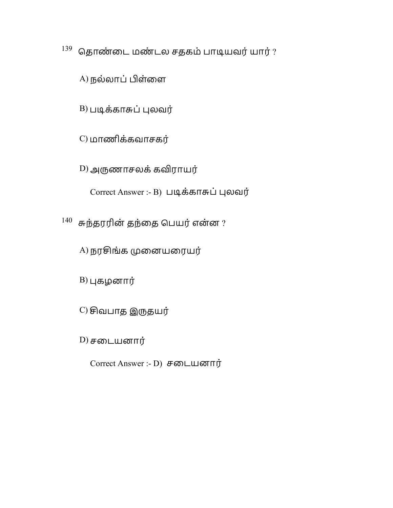$139$  தொண்டை மண்டல சதகம் பாடியவர் யார் ?

A) நல்லாப் பிள்ளை

 $B$ ) படிக்காசுப் புலவர்

C) மாணிக்கவாசகர்

D) அருணாசலக் கவிராயர்

Correct Answer :- B) படிக்காசுப் புலவர்

 $^{140}$  சுந்தரரின் தந்தை பெயர் என்ன ?

A) நரசிங்க முனையரையர்

 $B$ ) புகழனார்

 $(C)$  சிவபாத இருதயர்

D) சைடயனார்

Correct Answer :- D) சைடயனார்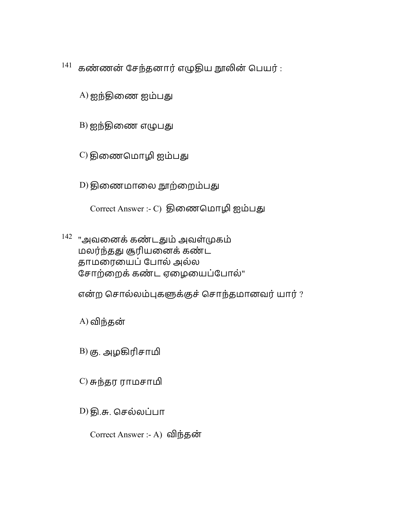$141$  கண்ணன் சேந்தனார் எழுதிய நாலின் பெயர் :

 $(A)$  ஐந்திணை ஐம்பது

 $B)$  ஐந்திணை எழுபது

C) திணைமொழி ஐம்பது

D) திணைமாலை நூற்றைம்பது

Correct Answer :- C) திணைமொழி ஐம்பது

 $142$  "அவனைக் கண்டதும் அவள்முகம் மலர்ந்தது சூரியனைக் கண்ட தாமரையைப் போல் அல்ல சோற்றைக் கண்ட ஏழையைப்போல்"

என்ற சொல்லம்புகளுக்குச் சொந்தமானவர் யார் ?

 $A)$  விந்தன்

 $B$ ) கு. அழகிரிசாமி

 $(C)$  சுந்தர ராமசாமி

D) தி.சு. செல்லப்பா

Correct Answer :- A) விந்தன்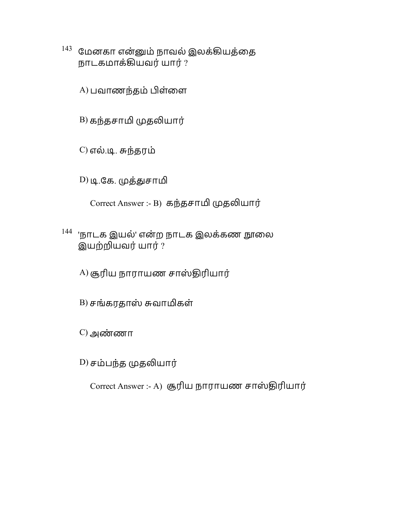$^{143}$  மேனகா என்னும் நாவல் இலக்கியத்தை நாடகமாக்ழயவர்யார் ?

A) பவாணந்தம் பிள்ளை

B) கந்தசாமி முதலியார்

 $(C)$  எல்.டி. சுந்தரம்

D) டி.கே. முத்துசாமி

Correct Answer :- B) கந்தசாமி முதலியார்

 $144$  'நாடக இயல்' என்ற நாடக இலக்கண நூலை இயற்யவர்யார் ?

A) சூரிய நாராயண சாஸ்திரியார்

- $B$ ) சங்கரதாஸ் சுவாமிகள்
- $(C)$  அண்ணா

D) சம்பந்த முதலியார்

Correct Answer :- A) சூரிய நாராயண சாஸ்திரியார்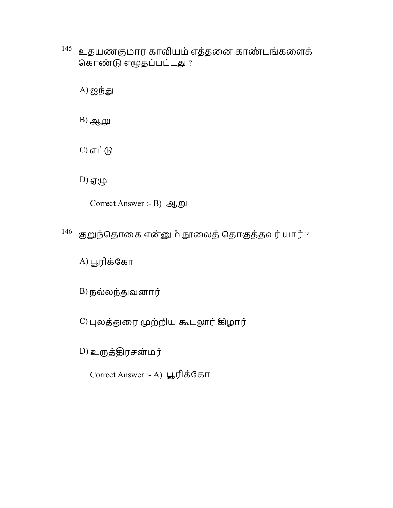$^{145}$  உதயணகுமார காவியம் எத்தனை காண்டங்களைக் கொண்டு எழுதப்பட்டது ?

 $(A)$  ஐந்து

 $B)$  ஆறு

 $C$ ) எட்டு

 $D)$  ஏழு

Correct Answer :- B) ஆ

 $146$  குறுந்தொகை என்னும் நூலைத் தொகுத்தவர் யார் ?

 $(A)$ பூரிக்கோ

 $B)$  நல்லந்துவனார்

 $C$ ) புலத்துரை முற்றிய கூடலூர் கிழார்

D) உருத்திரசன்மர்

Correct Answer :- A) பூரிக்கோ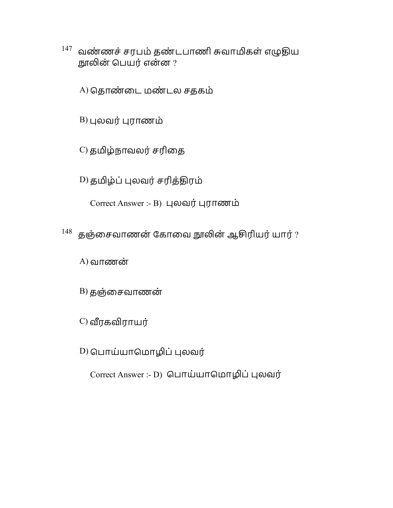- $147$  வண்ணச் சரபம் தண்டபாணி சுவாமிகள் எழுதிய நூலின் பெயர் என்ன ?
	- A) தொண்டை மண்டல சதகம்

 $B$ ) புலவர் புராணம்

C) தமிழ்நாவலர் சரிதை

D) தமிழ்ப் புலவர் சரித்திரம்

Correct Answer :- B) புலவர் புராணம்

 $148$  தஞ்சைவாணன் கோவை நூலின் ஆசிரியர் யார் ?

 $A)$  வாணன்

 $B)$  தஞ்சைவாணன்

 $C$ ) வீரகவிராயர்

D) பொய்யாமொழிப் புலவர்

Correct Answer :- D) பொய்யாமொழிப் புலவர்